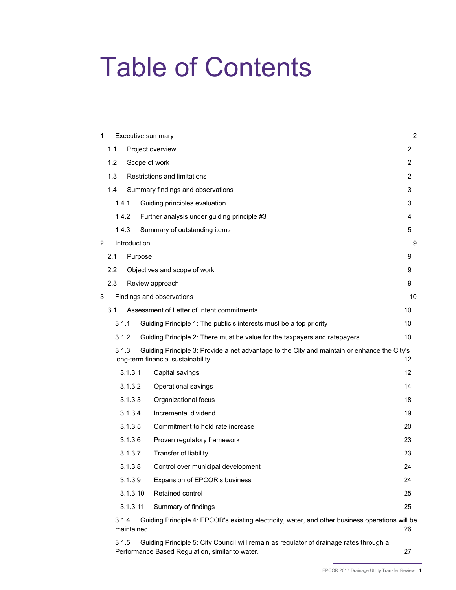# Table of Contents

| 1 |               | Executive summary |                                                                                                                                   |                |  |  |  |  |
|---|---------------|-------------------|-----------------------------------------------------------------------------------------------------------------------------------|----------------|--|--|--|--|
|   | 1.1           |                   | Project overview                                                                                                                  | 2              |  |  |  |  |
|   | 1.2           |                   | Scope of work                                                                                                                     | 2              |  |  |  |  |
|   | 1.3           |                   | Restrictions and limitations                                                                                                      | $\overline{2}$ |  |  |  |  |
|   | 1.4           |                   | Summary findings and observations                                                                                                 | 3              |  |  |  |  |
|   | 1.4.1         |                   | Guiding principles evaluation                                                                                                     | 3              |  |  |  |  |
|   |               | 1.4.2             | Further analysis under guiding principle #3                                                                                       | 4              |  |  |  |  |
|   | 1.4.3         |                   | Summary of outstanding items                                                                                                      | 5              |  |  |  |  |
| 2 |               | Introduction      |                                                                                                                                   | 9              |  |  |  |  |
|   | 2.1           | Purpose           |                                                                                                                                   | 9              |  |  |  |  |
|   | $2.2^{\circ}$ |                   | Objectives and scope of work                                                                                                      | 9              |  |  |  |  |
|   | 2.3           |                   | Review approach                                                                                                                   | 9              |  |  |  |  |
| 3 |               |                   | Findings and observations                                                                                                         | 10             |  |  |  |  |
|   | 3.1           |                   | Assessment of Letter of Intent commitments                                                                                        | 10             |  |  |  |  |
|   | 3.1.1         |                   | Guiding Principle 1: The public's interests must be a top priority                                                                | 10             |  |  |  |  |
|   |               | 3.1.2             | Guiding Principle 2: There must be value for the taxpayers and ratepayers                                                         | 10             |  |  |  |  |
|   | 3.1.3         |                   | Guiding Principle 3: Provide a net advantage to the City and maintain or enhance the City's<br>long-term financial sustainability | 12             |  |  |  |  |
|   |               | 3.1.3.1           | Capital savings                                                                                                                   | 12             |  |  |  |  |
|   |               | 3.1.3.2           | Operational savings                                                                                                               | 14             |  |  |  |  |
|   |               | 3.1.3.3           | Organizational focus                                                                                                              | 18             |  |  |  |  |
|   |               | 3.1.3.4           | Incremental dividend                                                                                                              | 19             |  |  |  |  |
|   |               | 3.1.3.5           | Commitment to hold rate increase                                                                                                  | 20             |  |  |  |  |
|   |               | 3.1.3.6           | Proven regulatory framework                                                                                                       | 23             |  |  |  |  |
|   |               | 3.1.3.7           | Transfer of liability                                                                                                             | 23             |  |  |  |  |
|   |               | 3.1.3.8           | Control over municipal development                                                                                                | 24             |  |  |  |  |
|   |               | 3.1.3.9           | Expansion of EPCOR's business                                                                                                     | 24             |  |  |  |  |
|   |               | 3.1.3.10          | Retained control                                                                                                                  | 25             |  |  |  |  |
|   |               | 3.1.3.11          | Summary of findings                                                                                                               | 25             |  |  |  |  |
|   |               |                   | $O_{\text{out}}$ die in Delen die Lands in FROODLet beleiden die Landscheiden                                                     | $211 - 1$      |  |  |  |  |

3.1.4 [Guiding Principle 4: EPCOR's existing electricity, water, and other business operations will be](#page-28-0)  [maintained.](#page-28-0) 26

3.1.5 [Guiding Principle 5: City Council will remain as regulator of drainage rates through a](#page-29-0)  [Performance Based Regulation, similar to water.](#page-29-0) 27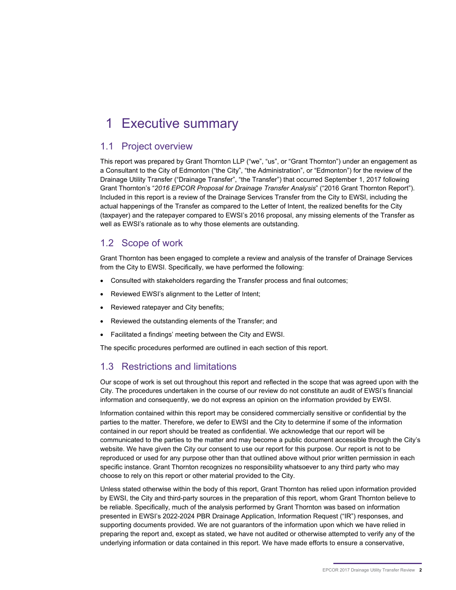# <span id="page-4-0"></span>1 Executive summary

## <span id="page-4-1"></span>1.1 Project overview

This report was prepared by Grant Thornton LLP ("we", "us", or "Grant Thornton") under an engagement as a Consultant to the City of Edmonton ("the City", "the Administration", or "Edmonton") for the review of the Drainage Utility Transfer ("Drainage Transfer", "the Transfer") that occurred September 1, 2017 following Grant Thornton's "*2016 EPCOR Proposal for Drainage Transfer Analysis*" ("2016 Grant Thornton Report"). Included in this report is a review of the Drainage Services Transfer from the City to EWSI, including the actual happenings of the Transfer as compared to the Letter of Intent, the realized benefits for the City (taxpayer) and the ratepayer compared to EWSI's 2016 proposal, any missing elements of the Transfer as well as EWSI's rationale as to why those elements are outstanding.

## <span id="page-4-2"></span>1.2 Scope of work

Grant Thornton has been engaged to complete a review and analysis of the transfer of Drainage Services from the City to EWSI. Specifically, we have performed the following:

- Consulted with stakeholders regarding the Transfer process and final outcomes;
- Reviewed EWSI's alignment to the Letter of Intent;
- Reviewed ratepayer and City benefits;
- Reviewed the outstanding elements of the Transfer; and
- Facilitated a findings' meeting between the City and EWSI.

The specific procedures performed are outlined in each section of this report.

# <span id="page-4-3"></span>1.3 Restrictions and limitations

Our scope of work is set out throughout this report and reflected in the scope that was agreed upon with the City. The procedures undertaken in the course of our review do not constitute an audit of EWSI's financial information and consequently, we do not express an opinion on the information provided by EWSI.

Information contained within this report may be considered commercially sensitive or confidential by the parties to the matter. Therefore, we defer to EWSI and the City to determine if some of the information contained in our report should be treated as confidential. We acknowledge that our report will be communicated to the parties to the matter and may become a public document accessible through the City's website. We have given the City our consent to use our report for this purpose. Our report is not to be reproduced or used for any purpose other than that outlined above without prior written permission in each specific instance. Grant Thornton recognizes no responsibility whatsoever to any third party who may choose to rely on this report or other material provided to the City.

Unless stated otherwise within the body of this report, Grant Thornton has relied upon information provided by EWSI, the City and third-party sources in the preparation of this report, whom Grant Thornton believe to be reliable. Specifically, much of the analysis performed by Grant Thornton was based on information presented in EWSI's 2022-2024 PBR Drainage Application, Information Request ("IR") responses, and supporting documents provided. We are not guarantors of the information upon which we have relied in preparing the report and, except as stated, we have not audited or otherwise attempted to verify any of the underlying information or data contained in this report. We have made efforts to ensure a conservative,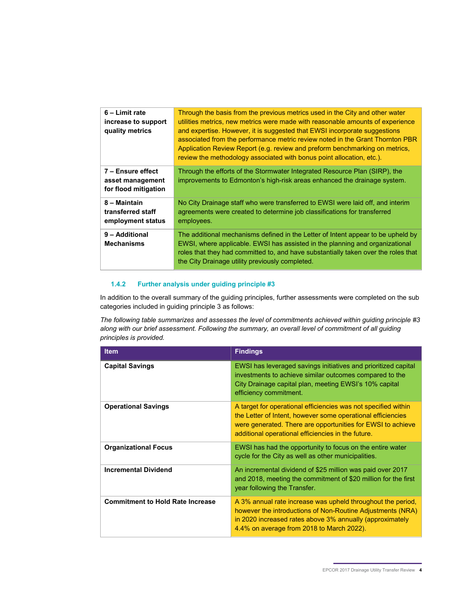| 6 – Limit rate<br>increase to support<br>quality metrics      | Through the basis from the previous metrics used in the City and other water<br>utilities metrics, new metrics were made with reasonable amounts of experience<br>and expertise. However, it is suggested that EWSI incorporate suggestions<br>associated from the performance metric review noted in the Grant Thornton PBR<br>Application Review Report (e.g. review and preform benchmarking on metrics,<br>review the methodology associated with bonus point allocation, etc.). |
|---------------------------------------------------------------|--------------------------------------------------------------------------------------------------------------------------------------------------------------------------------------------------------------------------------------------------------------------------------------------------------------------------------------------------------------------------------------------------------------------------------------------------------------------------------------|
| 7 - Ensure effect<br>asset management<br>for flood mitigation | Through the efforts of the Stormwater Integrated Resource Plan (SIRP), the<br>improvements to Edmonton's high-risk areas enhanced the drainage system.                                                                                                                                                                                                                                                                                                                               |
| 8 – Maintain<br>transferred staff<br>employment status        | No City Drainage staff who were transferred to EWSI were laid off, and interim<br>agreements were created to determine job classifications for transferred<br>employees.                                                                                                                                                                                                                                                                                                             |
| 9 - Additional<br><b>Mechanisms</b>                           | The additional mechanisms defined in the Letter of Intent appear to be upheld by<br>EWSI, where applicable. EWSI has assisted in the planning and organizational<br>roles that they had committed to, and have substantially taken over the roles that<br>the City Drainage utility previously completed.                                                                                                                                                                            |

#### <span id="page-6-0"></span>**1.4.2 Further analysis under guiding principle #3**

In addition to the overall summary of the guiding principles, further assessments were completed on the sub categories included in guiding principle 3 as follows:

*The following table summarizes and assesses the level of commitments achieved within guiding principle #3 along with our brief assessment. Following the summary, an overall level of commitment of all guiding principles is provided.* 

| <b>Item</b>                             | <b>Findings</b>                                                                                                                                                                                                                                    |
|-----------------------------------------|----------------------------------------------------------------------------------------------------------------------------------------------------------------------------------------------------------------------------------------------------|
| <b>Capital Savings</b>                  | EWSI has leveraged savings initiatives and prioritized capital<br>investments to achieve similar outcomes compared to the<br>City Drainage capital plan, meeting EWSI's 10% capital<br>efficiency commitment.                                      |
| <b>Operational Savings</b>              | A target for operational efficiencies was not specified within<br>the Letter of Intent, however some operational efficiencies<br>were generated. There are opportunities for EWSI to achieve<br>additional operational efficiencies in the future. |
| <b>Organizational Focus</b>             | EWSI has had the opportunity to focus on the entire water<br>cycle for the City as well as other municipalities.                                                                                                                                   |
| <b>Incremental Dividend</b>             | An incremental dividend of \$25 million was paid over 2017<br>and 2018, meeting the commitment of \$20 million for the first<br>year following the Transfer.                                                                                       |
| <b>Commitment to Hold Rate Increase</b> | A 3% annual rate increase was upheld throughout the period,<br>however the introductions of Non-Routine Adjustments (NRA)<br>in 2020 increased rates above 3% annually (approximately<br>4.4% on average from 2018 to March 2022).                 |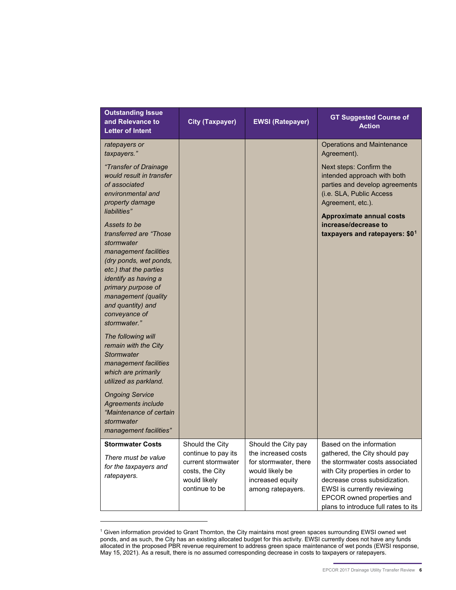| <b>Outstanding Issue</b><br>and Relevance to<br><b>Letter of Intent</b>                                                                                                                                                                                       | <b>City (Taxpayer)</b>                                                                         | <b>EWSI (Ratepayer)</b>                                                                                  | <b>GT Suggested Course of</b><br><b>Action</b>                                                                                                                                                                                             |
|---------------------------------------------------------------------------------------------------------------------------------------------------------------------------------------------------------------------------------------------------------------|------------------------------------------------------------------------------------------------|----------------------------------------------------------------------------------------------------------|--------------------------------------------------------------------------------------------------------------------------------------------------------------------------------------------------------------------------------------------|
| ratepayers or<br>taxpayers."                                                                                                                                                                                                                                  |                                                                                                |                                                                                                          | <b>Operations and Maintenance</b><br>Agreement).                                                                                                                                                                                           |
| "Transfer of Drainage<br>would result in transfer<br>of associated<br>environmental and<br>property damage<br>liabilities"                                                                                                                                    |                                                                                                |                                                                                                          | Next steps: Confirm the<br>intended approach with both<br>parties and develop agreements<br>(i.e. SLA, Public Access<br>Agreement, etc.).                                                                                                  |
| Assets to be<br>transferred are "Those"<br>stormwater<br>management facilities<br>(dry ponds, wet ponds,<br>etc.) that the parties<br>identify as having a<br>primary purpose of<br>management (quality<br>and quantity) and<br>conveyance of<br>stormwater." |                                                                                                |                                                                                                          | <b>Approximate annual costs</b><br>increase/decrease to<br>taxpayers and ratepayers: \$01                                                                                                                                                  |
| The following will<br>remain with the City<br><b>Stormwater</b><br>management facilities<br>which are primarily<br>utilized as parkland.                                                                                                                      |                                                                                                |                                                                                                          |                                                                                                                                                                                                                                            |
| <b>Ongoing Service</b><br>Agreements include<br>"Maintenance of certain<br>stormwater<br>management facilities"                                                                                                                                               |                                                                                                |                                                                                                          |                                                                                                                                                                                                                                            |
| <b>Stormwater Costs</b>                                                                                                                                                                                                                                       | Should the City                                                                                | Should the City pay                                                                                      | Based on the information                                                                                                                                                                                                                   |
| There must be value<br>for the taxpayers and<br>ratepayers.                                                                                                                                                                                                   | continue to pay its<br>current stormwater<br>costs, the City<br>would likely<br>continue to be | the increased costs<br>for stormwater, there<br>would likely be<br>increased equity<br>among ratepayers. | gathered, the City should pay<br>the stormwater costs associated<br>with City properties in order to<br>decrease cross subsidization.<br>EWSI is currently reviewing<br>EPCOR owned properties and<br>plans to introduce full rates to its |

<span id="page-8-0"></span><sup>1</sup> Given information provided to Grant Thornton, the City maintains most green spaces surrounding EWSI owned wet ponds, and as such, the City has an existing allocated budget for this activity. EWSI currently does not have any funds allocated in the proposed PBR revenue requirement to address green space maintenance of wet ponds (EWSI response, May 15, 2021). As a result, there is no assumed corresponding decrease in costs to taxpayers or ratepayers.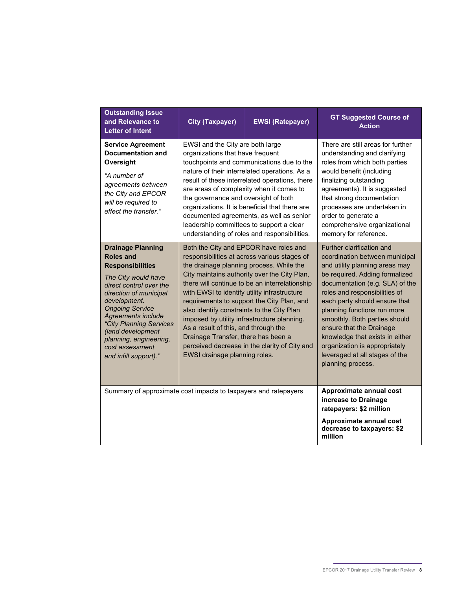| <b>Outstanding Issue</b><br>and Relevance to<br><b>Letter of Intent</b>                                                                                                                                                                                                                                                                          | <b>City (Taxpayer)</b>                                                                                                                                                                                                                                                                                                                                                                                                                                                                                                                                                                           | <b>EWSI (Ratepayer)</b>                                                                                                                                                                                                                                                                    | <b>GT Suggested Course of</b><br><b>Action</b>                                                                                                                                                                                                                                                                                                                                                                                                              |
|--------------------------------------------------------------------------------------------------------------------------------------------------------------------------------------------------------------------------------------------------------------------------------------------------------------------------------------------------|--------------------------------------------------------------------------------------------------------------------------------------------------------------------------------------------------------------------------------------------------------------------------------------------------------------------------------------------------------------------------------------------------------------------------------------------------------------------------------------------------------------------------------------------------------------------------------------------------|--------------------------------------------------------------------------------------------------------------------------------------------------------------------------------------------------------------------------------------------------------------------------------------------|-------------------------------------------------------------------------------------------------------------------------------------------------------------------------------------------------------------------------------------------------------------------------------------------------------------------------------------------------------------------------------------------------------------------------------------------------------------|
| <b>Service Agreement</b><br>Documentation and<br>Oversight<br>"A number of<br>agreements between<br>the City and EPCOR<br>will be required to<br>effect the transfer."                                                                                                                                                                           | EWSI and the City are both large<br>organizations that have frequent<br>are areas of complexity when it comes to<br>the governance and oversight of both<br>leadership committees to support a clear                                                                                                                                                                                                                                                                                                                                                                                             | touchpoints and communications due to the<br>nature of their interrelated operations. As a<br>result of these interrelated operations, there<br>organizations. It is beneficial that there are<br>documented agreements, as well as senior<br>understanding of roles and responsibilities. | There are still areas for further<br>understanding and clarifying<br>roles from which both parties<br>would benefit (including<br>finalizing outstanding<br>agreements). It is suggested<br>that strong documentation<br>processes are undertaken in<br>order to generate a<br>comprehensive organizational<br>memory for reference.                                                                                                                        |
| <b>Drainage Planning</b><br><b>Roles and</b><br><b>Responsibilities</b><br>The City would have<br>direct control over the<br>direction of municipal<br>development.<br><b>Ongoing Service</b><br><b>Agreements include</b><br>"City Planning Services<br>(land development<br>planning, engineering,<br>cost assessment<br>and infill support)." | Both the City and EPCOR have roles and<br>responsibilities at across various stages of<br>the drainage planning process. While the<br>City maintains authority over the City Plan,<br>there will continue to be an interrelationship<br>with EWSI to identify utility infrastructure<br>requirements to support the City Plan, and<br>also identify constraints to the City Plan<br>imposed by utility infrastructure planning.<br>As a result of this, and through the<br>Drainage Transfer, there has been a<br>perceived decrease in the clarity of City and<br>EWSI drainage planning roles. |                                                                                                                                                                                                                                                                                            | Further clarification and<br>coordination between municipal<br>and utility planning areas may<br>be required. Adding formalized<br>documentation (e.g. SLA) of the<br>roles and responsibilities of<br>each party should ensure that<br>planning functions run more<br>smoothly. Both parties should<br>ensure that the Drainage<br>knowledge that exists in either<br>organization is appropriately<br>leveraged at all stages of the<br>planning process. |
| Summary of approximate cost impacts to taxpayers and ratepayers                                                                                                                                                                                                                                                                                  |                                                                                                                                                                                                                                                                                                                                                                                                                                                                                                                                                                                                  |                                                                                                                                                                                                                                                                                            | Approximate annual cost<br>increase to Drainage<br>ratepayers: \$2 million<br>Approximate annual cost<br>decrease to taxpayers: \$2<br>million                                                                                                                                                                                                                                                                                                              |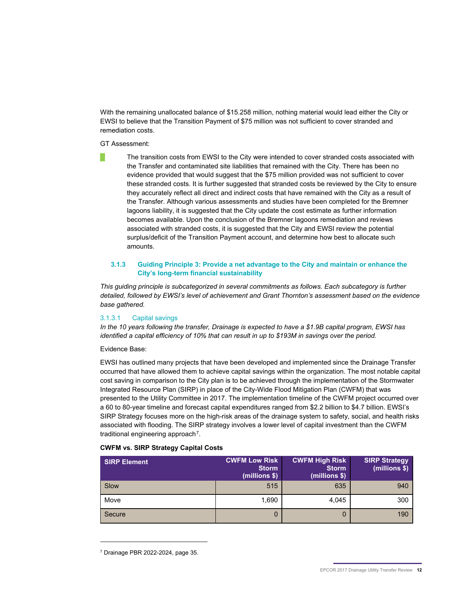With the remaining unallocated balance of \$15.258 million, nothing material would lead either the City or EWSI to believe that the Transition Payment of \$75 million was not sufficient to cover stranded and remediation costs.

GT Assessment:

The transition costs from EWSI to the City were intended to cover stranded costs associated with the Transfer and contaminated site liabilities that remained with the City. There has been no evidence provided that would suggest that the \$75 million provided was not sufficient to cover these stranded costs. It is further suggested that stranded costs be reviewed by the City to ensure they accurately reflect all direct and indirect costs that have remained with the City as a result of the Transfer. Although various assessments and studies have been completed for the Bremner lagoons liability, it is suggested that the City update the cost estimate as further information becomes available. Upon the conclusion of the Bremner lagoons remediation and reviews associated with stranded costs, it is suggested that the City and EWSI review the potential surplus/deficit of the Transition Payment account, and determine how best to allocate such amounts.

#### <span id="page-14-0"></span>**3.1.3 Guiding Principle 3: Provide a net advantage to the City and maintain or enhance the City's long-term financial sustainability**

*This guiding principle is subcategorized in several commitments as follows. Each subcategory is further detailed, followed by EWSI's level of achievement and Grant Thornton's assessment based on the evidence base gathered.* 

#### <span id="page-14-1"></span>3.1.3.1 Capital savings

*In the 10 years following the transfer, Drainage is expected to have a \$1.9B capital program, EWSI has identified a capital efficiency of 10% that can result in up to \$193M in savings over the period.* 

Evidence Base:

EWSI has outlined many projects that have been developed and implemented since the Drainage Transfer occurred that have allowed them to achieve capital savings within the organization. The most notable capital cost saving in comparison to the City plan is to be achieved through the implementation of the Stormwater Integrated Resource Plan (SIRP) in place of the City-Wide Flood Mitigation Plan (CWFM) that was presented to the Utility Committee in 2017. The implementation timeline of the CWFM project occurred over a 60 to 80-year timeline and forecast capital expenditures ranged from \$2.2 billion to \$4.7 billion. EWSI's SIRP Strategy focuses more on the high-risk areas of the drainage system to safety, social, and health risks associated with flooding. The SIRP strategy involves a lower level of capital investment than the CWFM traditional engineering approach<sup>[7](#page-14-2)</sup>.

| <b>SIRP Element</b> | <b>CWFM Low Risk</b><br><b>Storm</b><br>(millions \$) | <b>CWFM High Risk</b><br><b>Storm</b><br>$(millions $)$ | <b>SIRP Strategy</b><br>(millions \$) |
|---------------------|-------------------------------------------------------|---------------------------------------------------------|---------------------------------------|
| Slow                | 515                                                   | 635                                                     | 940                                   |
| Move                | 1,690                                                 | 4,045                                                   | 300                                   |
| Secure              | 0                                                     | 0                                                       | 190                                   |

#### **CWFM vs. SIRP Strategy Capital Costs**

<span id="page-14-2"></span><sup>7</sup> Drainage PBR 2022-2024, page 35.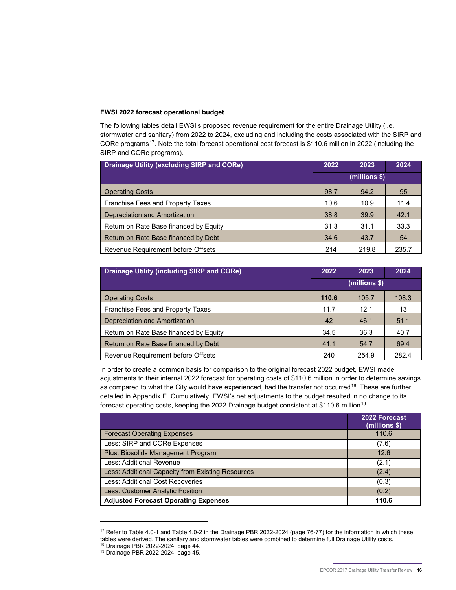#### **EWSI 2022 forecast operational budget**

The following tables detail EWSI's proposed revenue requirement for the entire Drainage Utility (i.e. stormwater and sanitary) from 2022 to 2024, excluding and including the costs associated with the SIRP and CORe programs<sup>[17](#page-18-0)</sup>. Note the total forecast operational cost forecast is \$110.6 million in 2022 (including the SIRP and CORe programs).

| <b>Drainage Utility (excluding SIRP and CORe)</b> |               | 2023  | 2024  |
|---------------------------------------------------|---------------|-------|-------|
|                                                   | (millions \$) |       |       |
| <b>Operating Costs</b>                            | 98.7          | 94.2  | 95    |
| <b>Franchise Fees and Property Taxes</b>          | 10.6          | 10.9  | 11.4  |
| Depreciation and Amortization                     | 38.8          | 39.9  | 42.1  |
| Return on Rate Base financed by Equity            | 31.3          | 31.1  | 33.3  |
| Return on Rate Base financed by Debt              | 34.6          | 43.7  | 54    |
| Revenue Requirement before Offsets                | 214           | 219.8 | 235.7 |

| <b>Drainage Utility (including SIRP and CORe)</b> |               | 2023  | 2024  |
|---------------------------------------------------|---------------|-------|-------|
|                                                   | (millions \$) |       |       |
| <b>Operating Costs</b>                            | 110.6         | 105.7 | 108.3 |
| <b>Franchise Fees and Property Taxes</b>          | 11.7          | 12.1  | 13    |
| Depreciation and Amortization                     | 42            | 46.1  | 51.1  |
| Return on Rate Base financed by Equity            | 34.5          | 36.3  | 40.7  |
| Return on Rate Base financed by Debt              |               | 54.7  | 69.4  |
| Revenue Requirement before Offsets                | 240           | 254.9 | 282.4 |

In order to create a common basis for comparison to the original forecast 2022 budget, EWSI made adjustments to their internal 2022 forecast for operating costs of \$110.6 million in order to determine savings as compared to what the City would have experienced, had the transfer not occurred<sup>[18](#page-18-1)</sup>. These are further detailed in Appendix E. Cumulatively, EWSI's net adjustments to the budget resulted in no change to its forecast operating costs, keeping the 2022 Drainage budget consistent at \$110.6 million<sup>19</sup>.

|                                                   | 2022 Forecast<br>(millions \$) |
|---------------------------------------------------|--------------------------------|
| <b>Forecast Operating Expenses</b>                | 110.6                          |
| Less: SIRP and CORe Expenses                      | (7.6)                          |
| Plus: Biosolids Management Program                | 12.6                           |
| Less: Additional Revenue                          | (2.1)                          |
| Less: Additional Capacity from Existing Resources | (2.4)                          |
| Less: Additional Cost Recoveries                  | (0.3)                          |
| Less: Customer Analytic Position                  | (0.2)                          |
| <b>Adjusted Forecast Operating Expenses</b>       | 110.6                          |

<span id="page-18-1"></span><span id="page-18-0"></span><sup>&</sup>lt;sup>17</sup> Refer to Table 4.0-1 and Table 4.0-2 in the Drainage PBR 2022-2024 (page 76-77) for the information in which these tables were derived. The sanitary and stormwater tables were combined to determine full Drainage Utility costs. <sup>18</sup> Drainage PBR 2022-2024, page 44. <sup>19</sup> Drainage PBR 2022-2024, page 45.

<span id="page-18-2"></span>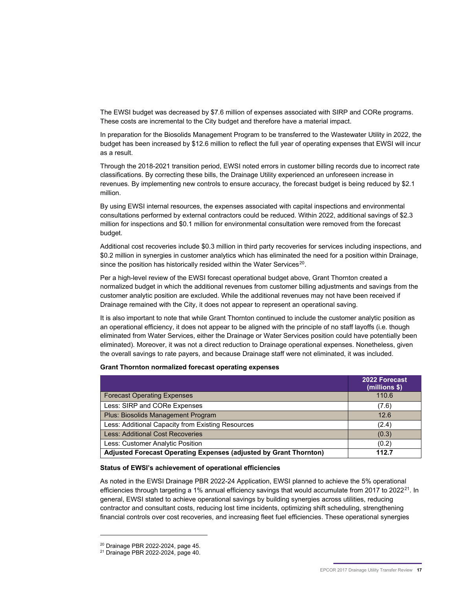The EWSI budget was decreased by \$7.6 million of expenses associated with SIRP and CORe programs. These costs are incremental to the City budget and therefore have a material impact.

In preparation for the Biosolids Management Program to be transferred to the Wastewater Utility in 2022, the budget has been increased by \$12.6 million to reflect the full year of operating expenses that EWSI will incur as a result.

Through the 2018-2021 transition period, EWSI noted errors in customer billing records due to incorrect rate classifications. By correcting these bills, the Drainage Utility experienced an unforeseen increase in revenues. By implementing new controls to ensure accuracy, the forecast budget is being reduced by \$2.1 million.

By using EWSI internal resources, the expenses associated with capital inspections and environmental consultations performed by external contractors could be reduced. Within 2022, additional savings of \$2.3 million for inspections and \$0.1 million for environmental consultation were removed from the forecast budget.

Additional cost recoveries include \$0.3 million in third party recoveries for services including inspections, and \$0.2 million in synergies in customer analytics which has eliminated the need for a position within Drainage, since the position has historically resided within the Water Services<sup>[20](#page-19-0)</sup>.

Per a high-level review of the EWSI forecast operational budget above, Grant Thornton created a normalized budget in which the additional revenues from customer billing adjustments and savings from the customer analytic position are excluded. While the additional revenues may not have been received if Drainage remained with the City, it does not appear to represent an operational saving.

It is also important to note that while Grant Thornton continued to include the customer analytic position as an operational efficiency, it does not appear to be aligned with the principle of no staff layoffs (i.e. though eliminated from Water Services, either the Drainage or Water Services position could have potentially been eliminated). Moreover, it was not a direct reduction to Drainage operational expenses. Nonetheless, given the overall savings to rate payers, and because Drainage staff were not eliminated, it was included.

#### **Grant Thornton normalized forecast operating expenses**

|                                                                   | 2022 Forecast<br>(millions \$) |
|-------------------------------------------------------------------|--------------------------------|
| <b>Forecast Operating Expenses</b>                                | 110.6                          |
| Less: SIRP and CORe Expenses                                      | (7.6)                          |
| Plus: Biosolids Management Program                                | 12.6                           |
| Less: Additional Capacity from Existing Resources                 | (2.4)                          |
| <b>Less: Additional Cost Recoveries</b>                           | (0.3)                          |
| Less: Customer Analytic Position                                  | (0.2)                          |
| Adjusted Forecast Operating Expenses (adjusted by Grant Thornton) | 112.7                          |

#### **Status of EWSI's achievement of operational efficiencies**

As noted in the EWSI Drainage PBR 2022-24 Application, EWSI planned to achieve the 5% operational efficiencies through targeting a 1% annual efficiency savings that would accumulate from 2017 to 2022<sup>[21](#page-19-1)</sup>. In general, EWSI stated to achieve operational savings by building synergies across utilities, reducing contractor and consultant costs, reducing lost time incidents, optimizing shift scheduling, strengthening financial controls over cost recoveries, and increasing fleet fuel efficiencies. These operational synergies

<span id="page-19-0"></span><sup>20</sup> Drainage PBR 2022-2024, page 45.

<span id="page-19-1"></span><sup>21</sup> Drainage PBR 2022-2024, page 40.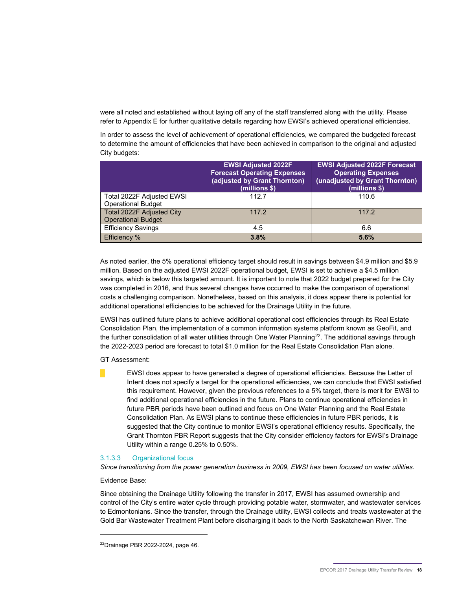were all noted and established without laying off any of the staff transferred along with the utility. Please refer to Appendix E for further qualitative details regarding how EWSI's achieved operational efficiencies.

In order to assess the level of achievement of operational efficiencies, we compared the budgeted forecast to determine the amount of efficiencies that have been achieved in comparison to the original and adjusted City budgets:

|                                                        | <b>EWSI Adjusted 2022F</b><br><b>Forecast Operating Expenses</b><br>(adjusted by Grant Thornton)<br>(millions \$) | <b>EWSI Adjusted 2022F Forecast</b><br><b>Operating Expenses</b><br>(unadjusted by Grant Thornton)<br>(millions \$) |
|--------------------------------------------------------|-------------------------------------------------------------------------------------------------------------------|---------------------------------------------------------------------------------------------------------------------|
| Total 2022F Adjusted EWSI<br><b>Operational Budget</b> | 112.7                                                                                                             | 110.6                                                                                                               |
| Total 2022F Adjusted City<br><b>Operational Budget</b> | 117.2                                                                                                             | 117.2                                                                                                               |
| <b>Efficiency Savings</b>                              | 4.5                                                                                                               | 6.6                                                                                                                 |
| <b>Efficiency %</b>                                    | 3.8%                                                                                                              | 5.6%                                                                                                                |

As noted earlier, the 5% operational efficiency target should result in savings between \$4.9 million and \$5.9 million. Based on the adjusted EWSI 2022F operational budget, EWSI is set to achieve a \$4.5 million savings, which is below this targeted amount. It is important to note that 2022 budget prepared for the City was completed in 2016, and thus several changes have occurred to make the comparison of operational costs a challenging comparison. Nonetheless, based on this analysis, it does appear there is potential for additional operational efficiencies to be achieved for the Drainage Utility in the future.

EWSI has outlined future plans to achieve additional operational cost efficiencies through its Real Estate Consolidation Plan, the implementation of a common information systems platform known as GeoFit, and the further consolidation of all water utilities through One Water Planning<sup>[22](#page-20-1)</sup>. The additional savings through the 2022-2023 period are forecast to total \$1.0 million for the Real Estate Consolidation Plan alone.

GT Assessment:

█ EWSI does appear to have generated a degree of operational efficiencies. Because the Letter of Intent does not specify a target for the operational efficiencies, we can conclude that EWSI satisfied this requirement. However, given the previous references to a 5% target, there is merit for EWSI to find additional operational efficiencies in the future. Plans to continue operational efficiencies in future PBR periods have been outlined and focus on One Water Planning and the Real Estate Consolidation Plan. As EWSI plans to continue these efficiencies in future PBR periods, it is suggested that the City continue to monitor EWSI's operational efficiency results. Specifically, the Grant Thornton PBR Report suggests that the City consider efficiency factors for EWSI's Drainage Utility within a range 0.25% to 0.50%.

#### <span id="page-20-0"></span>3.1.3.3 Organizational focus

*Since transitioning from the power generation business in 2009, EWSI has been focused on water utilities.* 

Evidence Base:

-

Since obtaining the Drainage Utility following the transfer in 2017, EWSI has assumed ownership and control of the City's entire water cycle through providing potable water, stormwater, and wastewater services to Edmontonians. Since the transfer, through the Drainage utility, EWSI collects and treats wastewater at the Gold Bar Wastewater Treatment Plant before discharging it back to the North Saskatchewan River. The

<span id="page-20-1"></span><sup>22</sup>Drainage PBR 2022-2024, page 46.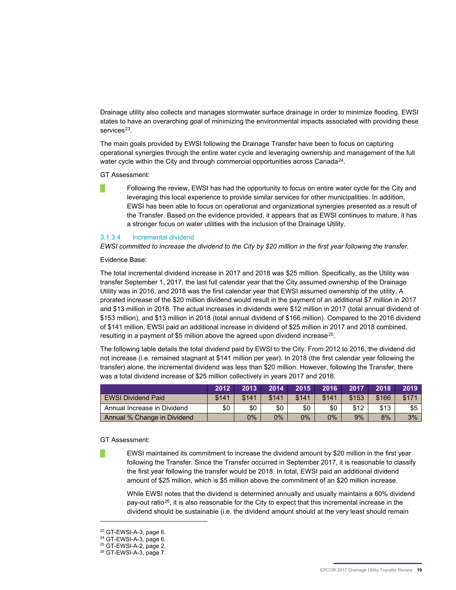Drainage utility also collects and manages stormwater surface drainage in order to minimize flooding. EWSI states to have an overarching goal of minimizing the environmental impacts associated with providing these services<sup>23</sup>.

The main goals provided by EWSI following the Drainage Transfer have been to focus on capturing operational synergies through the entire water cycle and leveraging ownership and management of the full water cycle within the City and through commercial opportunities across Canada<sup>24</sup>.

GT Assessment:

Following the review, EWSI has had the opportunity to focus on entire water cycle for the City and leveraging this local experience to provide similar services for other municipalities. In addition, EWSI has been able to focus on operational and organizational synergies presented as a result of the Transfer. Based on the evidence provided, it appears that as EWSI continues to mature, it has a stronger focus on water utilities with the inclusion of the Drainage Utility.

#### <span id="page-21-0"></span>3.1.3.4 Incremental dividend

*EWSI committed to increase the dividend to the City by \$20 million in the first year following the transfer.*

Evidence Base:

The total incremental dividend increase in 2017 and 2018 was \$25 million. Specifically, as the Utility was transfer September 1, 2017, the last full calendar year that the City assumed ownership of the Drainage Utility was in 2016, and 2018 was the first calendar year that EWSI assumed ownership of the utility. A prorated increase of the \$20 million dividend would result in the payment of an additional \$7 million in 2017 and \$13 million in 2018. The actual increases in dividends were \$12 million in 2017 (total annual dividend of \$153 million), and \$13 million in 2018 (total annual dividend of \$166 million). Compared to the 2016 dividend of \$141 million, EWSI paid an additional increase in dividend of \$25 million in 2017 and 2018 combined, resulting in a payment of \$5 million above the agreed upon dividend increase<sup>[25](#page-21-3)</sup>.

The following table details the total dividend paid by EWSI to the City. From 2012 to 2016, the dividend did not increase (i.e. remained stagnant at \$141 million per year). In 2018 (the first calendar year following the transfer) alone, the incremental dividend was less than \$20 million. However, following the Transfer, there was a total dividend increase of \$25 million collectively in years 2017 and 2018.

|                             | 2012  | 2013  | 2014  | 2015  | 2016  | 2017  | 2018  | 2019  |
|-----------------------------|-------|-------|-------|-------|-------|-------|-------|-------|
| <b>EWSI Dividend Paid</b>   | \$141 | \$141 | \$141 | \$141 | \$141 | \$153 | \$166 | \$17' |
| Annual Increase in Dividend | \$0   | \$0   | \$0   | \$0   | \$0   | \$12  | \$13  | \$5   |
| Annual % Change in Dividend |       | 0%    | 0%    | 0%    | 0%    | 9%    | 8%    | 3%    |

GT Assessment:

█ EWSI maintained its commitment to increase the dividend amount by \$20 million in the first year following the Transfer. Since the Transfer occurred in September 2017, it is reasonable to classify the first year following the transfer would be 2018. In total, EWSI paid an additional dividend amount of \$25 million, which is \$5 million above the commitment of an \$20 million increase.

While EWSI notes that the dividend is determined annually and usually maintains a 60% dividend pay-out ratio<sup>26</sup>, it is also reasonable for the City to expect that this incremental increase in the dividend should be sustainable (i.e. the dividend amount should at the very least should remain

<span id="page-21-1"></span><sup>23</sup> GT-EWSI-A-3, page 6.

<span id="page-21-2"></span><sup>24</sup> GT-EWSI-A-3, page 6.

<span id="page-21-3"></span><sup>25</sup> GT-EWSI-A-2, page 2.

<span id="page-21-4"></span><sup>26</sup> GT-EWSI-A-3, page 7.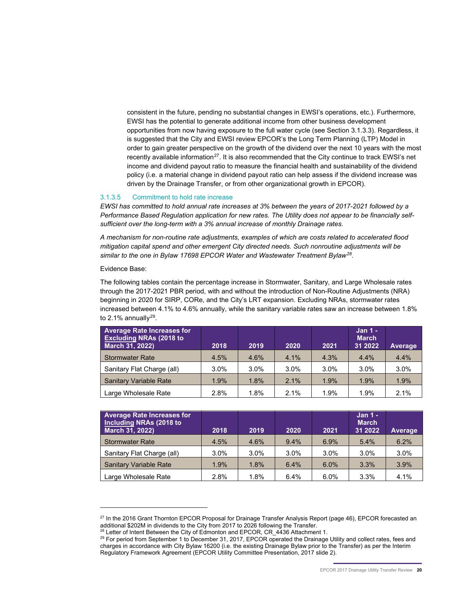consistent in the future, pending no substantial changes in EWSI's operations, etc.). Furthermore, EWSI has the potential to generate additional income from other business development opportunities from now having exposure to the full water cycle (see Section 3.1.3.3). Regardless, it is suggested that the City and EWSI review EPCOR's the Long Term Planning (LTP) Model in order to gain greater perspective on the growth of the dividend over the next 10 years with the most recently available information $27$ . It is also recommended that the City continue to track EWSI's net income and dividend payout ratio to measure the financial health and sustainability of the dividend policy (i.e. a material change in dividend payout ratio can help assess if the dividend increase was driven by the Drainage Transfer, or from other organizational growth in EPCOR).

#### <span id="page-22-0"></span>3.1.3.5 Commitment to hold rate increase

*EWSI has committed to hold annual rate increases at 3% between the years of 2017-2021 followed by a Performance Based Regulation application for new rates. The Utility does not appear to be financially selfsufficient over the long-term with a 3% annual increase of monthly Drainage rates.*

*A mechanism for non-routine rate adjustments, examples of which are costs related to accelerated flood mitigation capital spend and other emergent City directed needs. Such nonroutine adjustments will be similar to the one in Bylaw 17698 EPCOR Water and Wastewater Treatment Bylaw[28](#page-22-2).*

Evidence Base:

-

The following tables contain the percentage increase in Stormwater, Sanitary, and Large Wholesale rates through the 2017-2021 PBR period, with and without the introduction of Non-Routine Adjustments (NRA) beginning in 2020 for SIRP, CORe, and the City's LRT expansion. Excluding NRAs, stormwater rates increased between 4.1% to 4.6% annually, while the sanitary variable rates saw an increase between 1.8% to 2.1% annually $^{29}$  $^{29}$  $^{29}$ .

| <b>Average Rate Increases for</b><br><b>Excluding NRAs (2018 to</b><br>March 31, 2022) | 2018 | 2019 | 2020    | 2021 | Jan 1 -<br><b>March</b><br>31 2022 | Average |
|----------------------------------------------------------------------------------------|------|------|---------|------|------------------------------------|---------|
| <b>Stormwater Rate</b>                                                                 | 4.5% | 4.6% | 4.1%    | 4.3% | 4.4%                               | 4.4%    |
| Sanitary Flat Charge (all)                                                             | 3.0% | 3.0% | $3.0\%$ | 3.0% | 3.0%                               | 3.0%    |
| <b>Sanitary Variable Rate</b>                                                          | 1.9% | 1.8% | 2.1%    | 1.9% | 1.9%                               | 1.9%    |
| Large Wholesale Rate                                                                   | 2.8% | 1.8% | 2.1%    | 1.9% | 1.9%                               | 2.1%    |

| <b>Average Rate Increases for</b><br>Including NRAs (2018 to<br>March 31, 2022) | 2018 | 2019 | 2020 | 2021 | Jan 1 -<br><b>March</b><br>31 2022 | Average |
|---------------------------------------------------------------------------------|------|------|------|------|------------------------------------|---------|
| <b>Stormwater Rate</b>                                                          | 4.5% | 4.6% | 9.4% | 6.9% | 5.4%                               | 6.2%    |
| Sanitary Flat Charge (all)                                                      | 3.0% | 3.0% | 3.0% | 3.0% | 3.0%                               | 3.0%    |
| <b>Sanitary Variable Rate</b>                                                   | 1.9% | 1.8% | 6.4% | 6.0% | 3.3%                               | 3.9%    |
| Large Wholesale Rate                                                            | 2.8% | 1.8% | 6.4% | 6.0% | 3.3%                               | 4.1%    |

<span id="page-22-2"></span><span id="page-22-1"></span> $^{27}$  In the 2016 Grant Thornton EPCOR Proposal for Drainage Transfer Analysis Report (page 46), EPCOR forecasted an additional \$202M in dividends to the City from 2017 to 2026 following the Transfer.

<sup>&</sup>lt;sup>28</sup> Letter of Intent Between the City of Edmonton and EPCOR, CR\_4436 Attachment 1.

<span id="page-22-3"></span> $^{29}$  For period from September 1 to December 31, 2017, EPCOR operated the Drainage Utility and collect rates, fees and charges in accordance with City Bylaw 16200 (i.e. the existing Drainage Bylaw prior to the Transfer) as per the Interim Regulatory Framework Agreement (EPCOR Utility Committee Presentation, 2017 slide 2).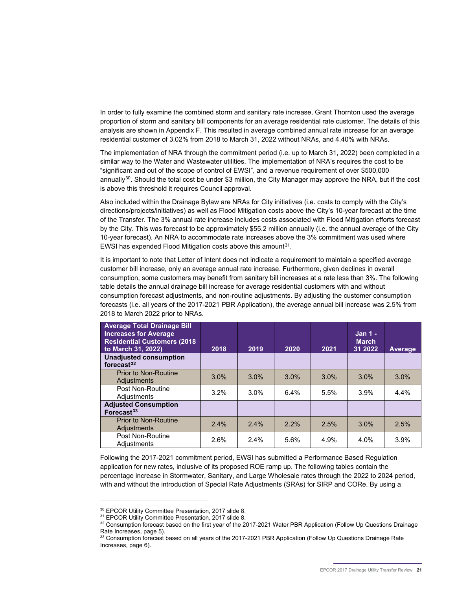In order to fully examine the combined storm and sanitary rate increase, Grant Thornton used the average proportion of storm and sanitary bill components for an average residential rate customer. The details of this analysis are shown in Appendix F. This resulted in average combined annual rate increase for an average residential customer of 3.02% from 2018 to March 31, 2022 without NRAs, and 4.40% with NRAs.

The implementation of NRA through the commitment period (i.e. up to March 31, 2022) been completed in a similar way to the Water and Wastewater utilities. The implementation of NRA's requires the cost to be "significant and out of the scope of control of EWSI", and a revenue requirement of over \$500,000 annually<sup>[30](#page-23-0)</sup>. Should the total cost be under \$3 million, the City Manager may approve the NRA, but if the cost is above this threshold it requires Council approval.

Also included within the Drainage Bylaw are NRAs for City initiatives (i.e. costs to comply with the City's directions/projects/initiatives) as well as Flood Mitigation costs above the City's 10-year forecast at the time of the Transfer. The 3% annual rate increase includes costs associated with Flood Mitigation efforts forecast by the City. This was forecast to be approximately \$55.2 million annually (i.e. the annual average of the City 10-year forecast). An NRA to accommodate rate increases above the 3% commitment was used where EWSI has expended Flood Mitigation costs above this amount $31$ .

It is important to note that Letter of Intent does not indicate a requirement to maintain a specified average customer bill increase, only an average annual rate increase. Furthermore, given declines in overall consumption, some customers may benefit from sanitary bill increases at a rate less than 3%. The following table details the annual drainage bill increase for average residential customers with and without consumption forecast adjustments, and non-routine adjustments. By adjusting the customer consumption forecasts (i.e. all years of the 2017-2021 PBR Application), the average annual bill increase was 2.5% from 2018 to March 2022 prior to NRAs.

| <b>Average Total Drainage Bill</b><br><b>Increases for Average</b><br><b>Residential Customers (2018)</b><br>to March 31, 2022) | 2018 | 2019 | 2020    | 2021 | $Jan 1 -$<br><b>March</b><br>31 2022 | <b>Average</b> |
|---------------------------------------------------------------------------------------------------------------------------------|------|------|---------|------|--------------------------------------|----------------|
| <b>Unadjusted consumption</b><br>forecast $32$                                                                                  |      |      |         |      |                                      |                |
| <b>Prior to Non-Routine</b><br><b>Adjustments</b>                                                                               | 3.0% | 3.0% | 3.0%    | 3.0% | 3.0%                                 | 3.0%           |
| Post Non-Routine<br>Adiustments                                                                                                 | 3.2% | 3.0% | 6.4%    | 5.5% | 3.9%                                 | 4.4%           |
| <b>Adjusted Consumption</b><br>Forecast $33$                                                                                    |      |      |         |      |                                      |                |
| <b>Prior to Non-Routine</b><br><b>Adjustments</b>                                                                               | 2.4% | 2.4% | $2.2\%$ | 2.5% | 3.0%                                 | 2.5%           |
| Post Non-Routine<br>Adiustments                                                                                                 | 2.6% | 2.4% | 5.6%    | 4.9% | 4.0%                                 | 3.9%           |

Following the 2017-2021 commitment period, EWSI has submitted a Performance Based Regulation application for new rates, inclusive of its proposed ROE ramp up. The following tables contain the percentage increase in Stormwater, Sanitary, and Large Wholesale rates through the 2022 to 2024 period, with and without the introduction of Special Rate Adjustments (SRAs) for SIRP and CORe. By using a

<sup>&</sup>lt;sup>30</sup> EPCOR Utility Committee Presentation, 2017 slide 8.<br><sup>31</sup> EPCOR Utility Committee Presentation, 2017 slide 8.

<span id="page-23-2"></span><span id="page-23-1"></span><span id="page-23-0"></span>

<sup>32</sup> Consumption forecast based on the first year of the 2017-2021 Water PBR Application (Follow Up Questions Drainage Rate Increases, page 5).

<span id="page-23-3"></span><sup>33</sup> Consumption forecast based on all years of the 2017-2021 PBR Application (Follow Up Questions Drainage Rate Increases, page 6).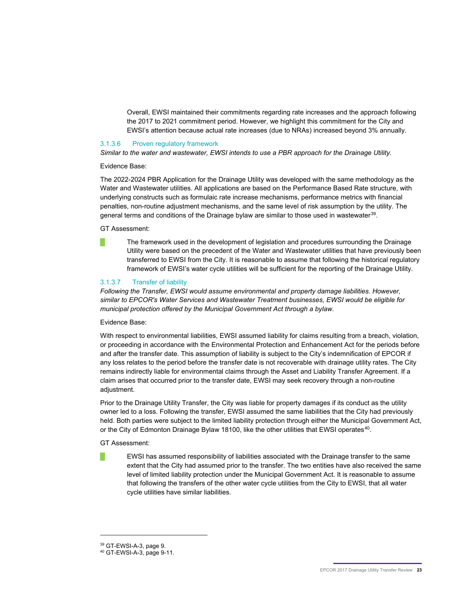Overall, EWSI maintained their commitments regarding rate increases and the approach following the 2017 to 2021 commitment period. However, we highlight this commitment for the City and EWSI's attention because actual rate increases (due to NRAs) increased beyond 3% annually.

#### <span id="page-25-0"></span>3.1.3.6 Proven regulatory framework

*Similar to the water and wastewater, EWSI intends to use a PBR approach for the Drainage Utility.* 

Evidence Base:

The 2022-2024 PBR Application for the Drainage Utility was developed with the same methodology as the Water and Wastewater utilities. All applications are based on the Performance Based Rate structure, with underlying constructs such as formulaic rate increase mechanisms, performance metrics with financial penalties, non-routine adjustment mechanisms, and the same level of risk assumption by the utility. The general terms and conditions of the Drainage bylaw are similar to those used in wastewater<sup>[39](#page-25-2)</sup>.

GT Assessment:

The framework used in the development of legislation and procedures surrounding the Drainage Utility were based on the precedent of the Water and Wastewater utilities that have previously been transferred to EWSI from the City. It is reasonable to assume that following the historical regulatory framework of EWSI's water cycle utilities will be sufficient for the reporting of the Drainage Utility.

#### <span id="page-25-1"></span>3.1.3.7 Transfer of liability

*Following the Transfer, EWSI would assume environmental and property damage liabilities. However, similar to EPCOR's Water Services and Wastewater Treatment businesses, EWSI would be eligible for municipal protection offered by the Municipal Government Act through a bylaw.*

Evidence Base:

With respect to environmental liabilities, EWSI assumed liability for claims resulting from a breach, violation, or proceeding in accordance with the Environmental Protection and Enhancement Act for the periods before and after the transfer date. This assumption of liability is subject to the City's indemnification of EPCOR if any loss relates to the period before the transfer date is not recoverable with drainage utility rates. The City remains indirectly liable for environmental claims through the Asset and Liability Transfer Agreement. If a claim arises that occurred prior to the transfer date, EWSI may seek recovery through a non-routine adjustment.

Prior to the Drainage Utility Transfer, the City was liable for property damages if its conduct as the utility owner led to a loss. Following the transfer, EWSI assumed the same liabilities that the City had previously held. Both parties were subject to the limited liability protection through either the Municipal Government Act, or the City of Edmonton Drainage Bylaw 18100, like the other utilities that EWSI operates<sup>40</sup>.

GT Assessment:

█ EWSI has assumed responsibility of liabilities associated with the Drainage transfer to the same extent that the City had assumed prior to the transfer. The two entities have also received the same level of limited liability protection under the Municipal Government Act. It is reasonable to assume that following the transfers of the other water cycle utilities from the City to EWSI, that all water cycle utilities have similar liabilities.

<span id="page-25-2"></span><sup>39</sup> GT-EWSI-A-3, page 9.

<span id="page-25-3"></span><sup>40</sup> GT-EWSI-A-3, page 9-11.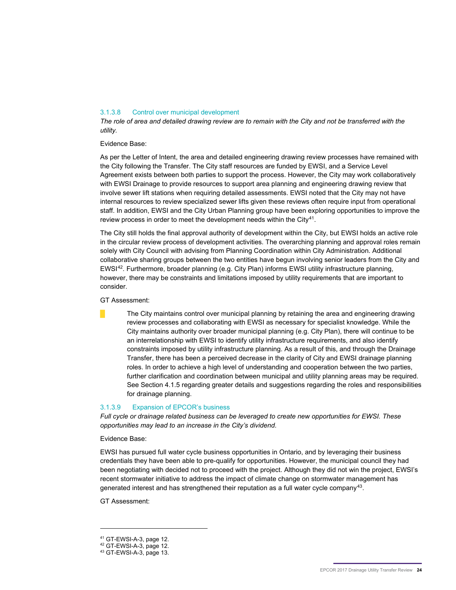#### <span id="page-26-0"></span>3.1.3.8 Control over municipal development

*The role of area and detailed drawing review are to remain with the City and not be transferred with the utility.* 

Evidence Base:

As per the Letter of Intent, the area and detailed engineering drawing review processes have remained with the City following the Transfer. The City staff resources are funded by EWSI, and a Service Level Agreement exists between both parties to support the process. However, the City may work collaboratively with EWSI Drainage to provide resources to support area planning and engineering drawing review that involve sewer lift stations when requiring detailed assessments. EWSI noted that the City may not have internal resources to review specialized sewer lifts given these reviews often require input from operational staff. In addition, EWSI and the City Urban Planning group have been exploring opportunities to improve the review process in order to meet the development needs within the City<sup>41</sup>.

The City still holds the final approval authority of development within the City, but EWSI holds an active role in the circular review process of development activities. The overarching planning and approval roles remain solely with City Council with advising from Planning Coordination within City Administration. Additional collaborative sharing groups between the two entities have begun involving senior leaders from the City and EWSI[42.](#page-26-3) Furthermore, broader planning (e.g. City Plan) informs EWSI utility infrastructure planning, however, there may be constraints and limitations imposed by utility requirements that are important to consider.

GT Assessment:

The City maintains control over municipal planning by retaining the area and engineering drawing review processes and collaborating with EWSI as necessary for specialist knowledge. While the City maintains authority over broader municipal planning (e.g. City Plan), there will continue to be an interrelationship with EWSI to identify utility infrastructure requirements, and also identify constraints imposed by utility infrastructure planning. As a result of this, and through the Drainage Transfer, there has been a perceived decrease in the clarity of City and EWSI drainage planning roles. In order to achieve a high level of understanding and cooperation between the two parties, further clarification and coordination between municipal and utility planning areas may be required. See Section 4.1.5 regarding greater details and suggestions regarding the roles and responsibilities for drainage planning.

#### <span id="page-26-1"></span>3.1.3.9 Expansion of EPCOR's business

*Full cycle or drainage related business can be leveraged to create new opportunities for EWSI. These opportunities may lead to an increase in the City's dividend.* 

Evidence Base:

EWSI has pursued full water cycle business opportunities in Ontario, and by leveraging their business credentials they have been able to pre-qualify for opportunities. However, the municipal council they had been negotiating with decided not to proceed with the project. Although they did not win the project, EWSI's recent stormwater initiative to address the impact of climate change on stormwater management has generated interest and has strengthened their reputation as a full water cycle company<sup>43</sup>.

GT Assessment:

<span id="page-26-2"></span><sup>&</sup>lt;sup>41</sup> GT-EWSI-A-3, page 12.<br><sup>42</sup> GT-EWSI-A-3, page 12.

<span id="page-26-4"></span><span id="page-26-3"></span> $43$  GT-EWSI-A-3, page 13.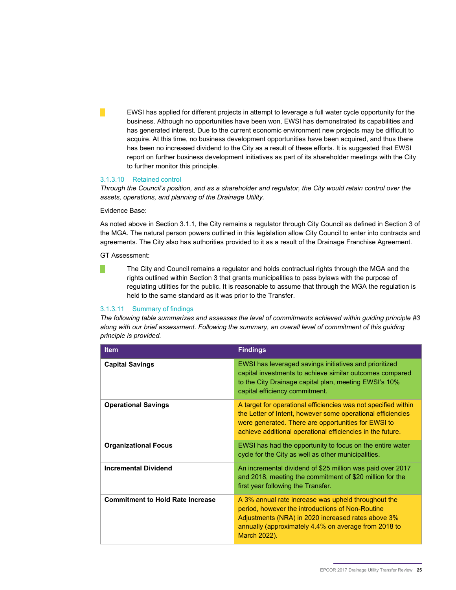█ EWSI has applied for different projects in attempt to leverage a full water cycle opportunity for the business. Although no opportunities have been won, EWSI has demonstrated its capabilities and has generated interest. Due to the current economic environment new projects may be difficult to acquire. At this time, no business development opportunities have been acquired, and thus there has been no increased dividend to the City as a result of these efforts. It is suggested that EWSI report on further business development initiatives as part of its shareholder meetings with the City to further monitor this principle.

#### <span id="page-27-0"></span>3.1.3.10 Retained control

*Through the Council's position, and as a shareholder and regulator, the City would retain control over the assets, operations, and planning of the Drainage Utility.* 

Evidence Base:

As noted above in Section 3.1.1, the City remains a regulator through City Council as defined in Section 3 of the MGA. The natural person powers outlined in this legislation allow City Council to enter into contracts and agreements. The City also has authorities provided to it as a result of the Drainage Franchise Agreement.

GT Assessment:

The City and Council remains a regulator and holds contractual rights through the MGA and the rights outlined within Section 3 that grants municipalities to pass bylaws with the purpose of regulating utilities for the public. It is reasonable to assume that through the MGA the regulation is held to the same standard as it was prior to the Transfer.

#### <span id="page-27-1"></span>3.1.3.11 Summary of findings

*The following table summarizes and assesses the level of commitments achieved within guiding principle #3 along with our brief assessment. Following the summary, an overall level of commitment of this guiding principle is provided.* 

| <b>Item</b>                             | <b>Findings</b>                                                                                                                                                                                                                                    |
|-----------------------------------------|----------------------------------------------------------------------------------------------------------------------------------------------------------------------------------------------------------------------------------------------------|
| <b>Capital Savings</b>                  | EWSI has leveraged savings initiatives and prioritized<br>capital investments to achieve similar outcomes compared<br>to the City Drainage capital plan, meeting EWSI's 10%<br>capital efficiency commitment.                                      |
| <b>Operational Savings</b>              | A target for operational efficiencies was not specified within<br>the Letter of Intent, however some operational efficiencies<br>were generated. There are opportunities for EWSI to<br>achieve additional operational efficiencies in the future. |
| <b>Organizational Focus</b>             | EWSI has had the opportunity to focus on the entire water<br>cycle for the City as well as other municipalities.                                                                                                                                   |
| <b>Incremental Dividend</b>             | An incremental dividend of \$25 million was paid over 2017<br>and 2018, meeting the commitment of \$20 million for the<br>first year following the Transfer.                                                                                       |
| <b>Commitment to Hold Rate Increase</b> | A 3% annual rate increase was upheld throughout the<br>period, however the introductions of Non-Routine<br>Adjustments (NRA) in 2020 increased rates above 3%<br>annually (approximately 4.4% on average from 2018 to<br>March 2022).              |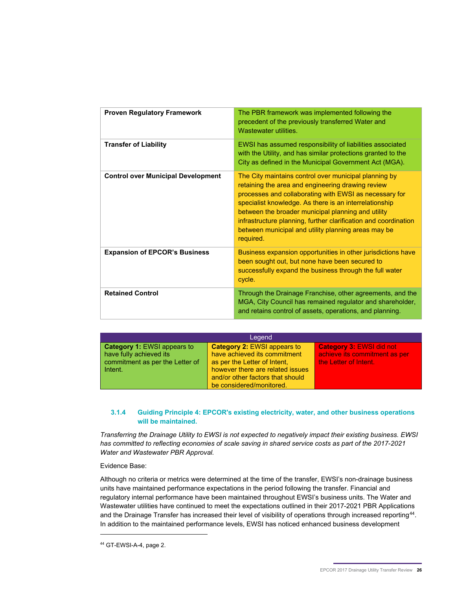| <b>Proven Regulatory Framework</b>        | The PBR framework was implemented following the<br>precedent of the previously transferred Water and<br>Wastewater utilities.                                                                                                                                                                                                                                                                                               |
|-------------------------------------------|-----------------------------------------------------------------------------------------------------------------------------------------------------------------------------------------------------------------------------------------------------------------------------------------------------------------------------------------------------------------------------------------------------------------------------|
| <b>Transfer of Liability</b>              | EWSI has assumed responsibility of liabilities associated<br>with the Utility, and has similar protections granted to the<br>City as defined in the Municipal Government Act (MGA).                                                                                                                                                                                                                                         |
| <b>Control over Municipal Development</b> | The City maintains control over municipal planning by<br>retaining the area and engineering drawing review<br>processes and collaborating with EWSI as necessary for<br>specialist knowledge. As there is an interrelationship<br>between the broader municipal planning and utility<br>infrastructure planning, further clarification and coordination<br>between municipal and utility planning areas may be<br>required. |
| <b>Expansion of EPCOR's Business</b>      | Business expansion opportunities in other jurisdictions have<br>been sought out, but none have been secured to<br>successfully expand the business through the full water<br>cycle.                                                                                                                                                                                                                                         |
| <b>Retained Control</b>                   | Through the Drainage Franchise, other agreements, and the<br>MGA, City Council has remained regulator and shareholder,<br>and retains control of assets, operations, and planning.                                                                                                                                                                                                                                          |

| Legend                                                                                                      |                                                                                                                                                                                                        |                                                                                           |  |  |  |  |  |
|-------------------------------------------------------------------------------------------------------------|--------------------------------------------------------------------------------------------------------------------------------------------------------------------------------------------------------|-------------------------------------------------------------------------------------------|--|--|--|--|--|
| <b>Category 1: EWSI appears to</b><br>have fully achieved its<br>commitment as per the Letter of<br>Intent. | <b>Category 2: EWSI appears to</b><br>have achieved its commitment<br>as per the Letter of Intent.<br>however there are related issues<br>and/or other factors that should<br>be considered/monitored. | <b>Category 3: EWSI did not</b><br>achieve its commitment as per<br>the Letter of Intent. |  |  |  |  |  |

#### <span id="page-28-0"></span>**3.1.4 Guiding Principle 4: EPCOR's existing electricity, water, and other business operations will be maintained.**

*Transferring the Drainage Utility to EWSI is not expected to negatively impact their existing business. EWSI has committed to reflecting economies of scale saving in shared service costs as part of the 2017-2021 Water and Wastewater PBR Approval.* 

Evidence Base:

Although no criteria or metrics were determined at the time of the transfer, EWSI's non-drainage business units have maintained performance expectations in the period following the transfer. Financial and regulatory internal performance have been maintained throughout EWSI's business units. The Water and Wastewater utilities have continued to meet the expectations outlined in their 2017-2021 PBR Applications and the Drainage Transfer has increased their level of visibility of operations through increased reporting<sup>[44](#page-28-1)</sup>. In addition to the maintained performance levels, EWSI has noticed enhanced business development

<span id="page-28-1"></span><sup>44</sup> GT-EWSI-A-4, page 2.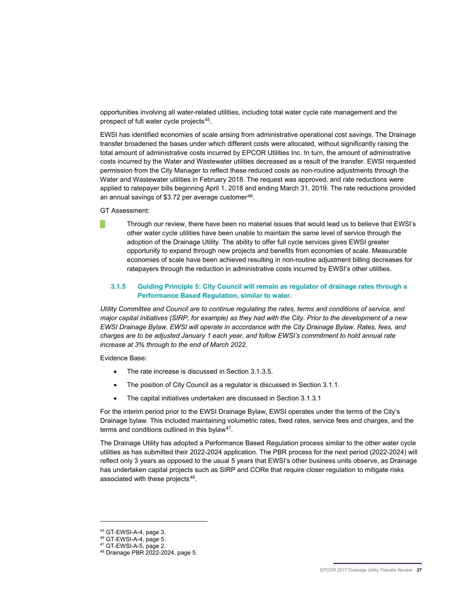opportunities involving all water-related utilities, including total water cycle rate management and the prospect of full water cycle projects<sup>45</sup>.

EWSI has identified economies of scale arising from administrative operational cost savings. The Drainage transfer broadened the bases under which different costs were allocated, without significantly raising the total amount of administrative costs incurred by EPCOR Utilities Inc. In turn, the amount of administrative costs incurred by the Water and Wastewater utilities decreased as a result of the transfer. EWSI requested permission from the City Manager to reflect these reduced costs as non-routine adjustments through the Water and Wastewater utilities in February 2018. The request was approved, and rate reductions were applied to ratepayer bills beginning April 1, 2018 and ending March 31, 2019. The rate reductions provided an annual savings of \$3.72 per average customer<sup>[46](#page-29-2)</sup>.

GT Assessment:

█ Through our review, there have been no material issues that would lead us to believe that EWSI's other water cycle utilities have been unable to maintain the same level of service through the adoption of the Drainage Utility. The ability to offer full cycle services gives EWSI greater opportunity to expand through new projects and benefits from economies of scale. Measurable economies of scale have been achieved resulting in non-routine adjustment billing decreases for ratepayers through the reduction in administrative costs incurred by EWSI's other utilities.

#### <span id="page-29-0"></span>**3.1.5 Guiding Principle 5: City Council will remain as regulator of drainage rates through a Performance Based Regulation, similar to water.**

*Utility Committee and Council are to continue regulating the rates, terms and conditions of service, and major capital initiatives (SIRP, for example) as they had with the City. Prior to the development of a new EWSI Drainage Bylaw, EWSI will operate in accordance with the City Drainage Bylaw. Rates, fees, and charges are to be adjusted January 1 each year, and follow EWSI's commitment to hold annual rate increase at 3% through to the end of March 2022.* 

Evidence Base:

- The rate increase is discussed in Section 3.1.3.5.
- The position of City Council as a regulator is discussed in Section 3.1.1.
- The capital initiatives undertaken are discussed in Section 3.1.3.1

For the interim period prior to the EWSI Drainage Bylaw, EWSI operates under the terms of the City's Drainage bylaw. This included maintaining volumetric rates, fixed rates, service fees and charges, and the terms and conditions outlined in this bylaw<sup>[47](#page-29-3)</sup>.

The Drainage Utility has adopted a Performance Based Regulation process similar to the other water cycle utilities as has submitted their 2022-2024 application. The PBR process for the next period (2022-2024) will reflect only 3 years as opposed to the usual 5 years that EWSI's other business units observe, as Drainage has undertaken capital projects such as SIRP and CORe that require closer regulation to mitigate risks associated with these projects<sup>48</sup>.

<span id="page-29-1"></span><sup>45</sup> GT-EWSI-A-4, page 3.

<span id="page-29-3"></span><span id="page-29-2"></span>

<sup>&</sup>lt;sup>46</sup> GT-EWSI-A-4, page 5.<br><sup>47</sup> GT-EWSI-A-5, page 2.

<span id="page-29-4"></span><sup>&</sup>lt;sup>48</sup> Drainage PBR 2022-2024, page 5.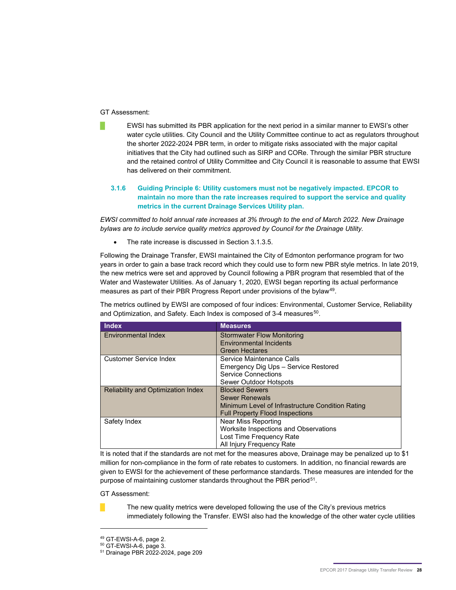#### GT Assessment:

█ EWSI has submitted its PBR application for the next period in a similar manner to EWSI's other water cycle utilities. City Council and the Utility Committee continue to act as regulators throughout the shorter 2022-2024 PBR term, in order to mitigate risks associated with the major capital initiatives that the City had outlined such as SIRP and CORe. Through the similar PBR structure and the retained control of Utility Committee and City Council it is reasonable to assume that EWSI has delivered on their commitment.

#### **3.1.6 Guiding Principle 6: Utility customers must not be negatively impacted. EPCOR to maintain no more than the rate increases required to support the service and quality metrics in the current Drainage Services Utility plan.**

*EWSI committed to hold annual rate increases at 3% through to the end of March 2022. New Drainage bylaws are to include service quality metrics approved by Council for the Drainage Utility.* 

The rate increase is discussed in Section 3.1.3.5.

Following the Drainage Transfer, EWSI maintained the City of Edmonton performance program for two years in order to gain a base track record which they could use to form new PBR style metrics. In late 2019, the new metrics were set and approved by Council following a PBR program that resembled that of the Water and Wastewater Utilities. As of January 1, 2020, EWSI began reporting its actual performance measures as part of their PBR Progress Report under provisions of the bylaw<sup>49</sup>.

The metrics outlined by EWSI are composed of four indices: Environmental, Customer Service, Reliability and Optimization, and Safety. Each Index is composed of 3-4 measures<sup>[50](#page-30-1)</sup>.

| <b>Index</b>                              | <b>Measures</b>                                  |
|-------------------------------------------|--------------------------------------------------|
| Environmental Index                       | <b>Stormwater Flow Monitoring</b>                |
|                                           | <b>Environmental Incidents</b>                   |
|                                           | <b>Green Hectares</b>                            |
| <b>Customer Service Index</b>             | Service Maintenance Calls                        |
|                                           | Emergency Dig Ups - Service Restored             |
|                                           | <b>Service Connections</b>                       |
|                                           | Sewer Outdoor Hotspots                           |
| <b>Reliability and Optimization Index</b> | <b>Blocked Sewers</b>                            |
|                                           | <b>Sewer Renewals</b>                            |
|                                           | Minimum Level of Infrastructure Condition Rating |
|                                           | <b>Full Property Flood Inspections</b>           |
| Safety Index                              | <b>Near Miss Reporting</b>                       |
|                                           | Worksite Inspections and Observations            |
|                                           | Lost Time Frequency Rate                         |
|                                           | All Injury Frequency Rate                        |

It is noted that if the standards are not met for the measures above, Drainage may be penalized up to \$1 million for non-compliance in the form of rate rebates to customers. In addition, no financial rewards are given to EWSI for the achievement of these performance standards. These measures are intended for the purpose of maintaining customer standards throughout the PBR period<sup>51</sup>.

GT Assessment:



-

The new quality metrics were developed following the use of the City's previous metrics immediately following the Transfer. EWSI also had the knowledge of the other water cycle utilities

<span id="page-30-2"></span><span id="page-30-1"></span><span id="page-30-0"></span><sup>&</sup>lt;sup>49</sup> GT-EWSI-A-6, page 2.<br><sup>50</sup> GT-EWSI-A-6, page 3.

<sup>51</sup> Drainage PBR 2022-2024, page 209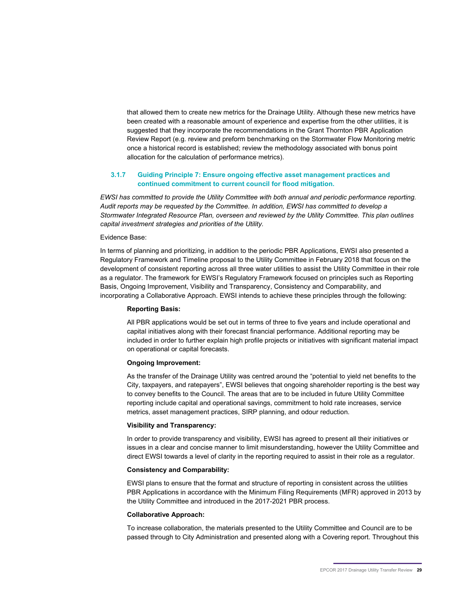that allowed them to create new metrics for the Drainage Utility. Although these new metrics have been created with a reasonable amount of experience and expertise from the other utilities, it is suggested that they incorporate the recommendations in the Grant Thornton PBR Application Review Report (e.g. review and preform benchmarking on the Stormwater Flow Monitoring metric once a historical record is established; review the methodology associated with bonus point allocation for the calculation of performance metrics).

#### **3.1.7 Guiding Principle 7: Ensure ongoing effective asset management practices and continued commitment to current council for flood mitigation.**

*EWSI has committed to provide the Utility Committee with both annual and periodic performance reporting. Audit reports may be requested by the Committee. In addition, EWSI has committed to develop a Stormwater Integrated Resource Plan, overseen and reviewed by the Utility Committee. This plan outlines capital investment strategies and priorities of the Utility.*

#### Evidence Base:

In terms of planning and prioritizing, in addition to the periodic PBR Applications, EWSI also presented a Regulatory Framework and Timeline proposal to the Utility Committee in February 2018 that focus on the development of consistent reporting across all three water utilities to assist the Utility Committee in their role as a regulator. The framework for EWSI's Regulatory Framework focused on principles such as Reporting Basis, Ongoing Improvement, Visibility and Transparency, Consistency and Comparability, and incorporating a Collaborative Approach. EWSI intends to achieve these principles through the following:

#### **Reporting Basis:**

All PBR applications would be set out in terms of three to five years and include operational and capital initiatives along with their forecast financial performance. Additional reporting may be included in order to further explain high profile projects or initiatives with significant material impact on operational or capital forecasts.

#### **Ongoing Improvement:**

As the transfer of the Drainage Utility was centred around the "potential to yield net benefits to the City, taxpayers, and ratepayers", EWSI believes that ongoing shareholder reporting is the best way to convey benefits to the Council. The areas that are to be included in future Utility Committee reporting include capital and operational savings, commitment to hold rate increases, service metrics, asset management practices, SIRP planning, and odour reduction.

#### **Visibility and Transparency:**

In order to provide transparency and visibility, EWSI has agreed to present all their initiatives or issues in a clear and concise manner to limit misunderstanding, however the Utility Committee and direct EWSI towards a level of clarity in the reporting required to assist in their role as a regulator.

#### **Consistency and Comparability:**

EWSI plans to ensure that the format and structure of reporting in consistent across the utilities PBR Applications in accordance with the Minimum Filing Requirements (MFR) approved in 2013 by the Utility Committee and introduced in the 2017-2021 PBR process.

#### **Collaborative Approach:**

To increase collaboration, the materials presented to the Utility Committee and Council are to be passed through to City Administration and presented along with a Covering report. Throughout this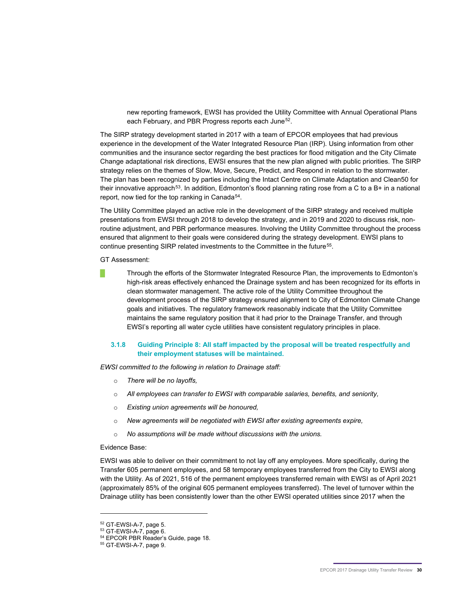new reporting framework, EWSI has provided the Utility Committee with Annual Operational Plans each February, and PBR Progress reports each June<sup>[52](#page-32-0)</sup>.

The SIRP strategy development started in 2017 with a team of EPCOR employees that had previous experience in the development of the Water Integrated Resource Plan (IRP). Using information from other communities and the insurance sector regarding the best practices for flood mitigation and the City Climate Change adaptational risk directions, EWSI ensures that the new plan aligned with public priorities. The SIRP strategy relies on the themes of Slow, Move, Secure, Predict, and Respond in relation to the stormwater. The plan has been recognized by parties including the Intact Centre on Climate Adaptation and Clean50 for their innovative approach<sup>[53](#page-32-1)</sup>. In addition, Edmonton's flood planning rating rose from a C to a B+ in a national report, now tied for the top ranking in Canada<sup>[54](#page-32-2)</sup>.

The Utility Committee played an active role in the development of the SIRP strategy and received multiple presentations from EWSI through 2018 to develop the strategy, and in 2019 and 2020 to discuss risk, nonroutine adjustment, and PBR performance measures. Involving the Utility Committee throughout the process ensured that alignment to their goals were considered during the strategy development. EWSI plans to continue presenting SIRP related investments to the Committee in the future<sup>55</sup>.

GT Assessment:

█ Through the efforts of the Stormwater Integrated Resource Plan, the improvements to Edmonton's high-risk areas effectively enhanced the Drainage system and has been recognized for its efforts in clean stormwater management. The active role of the Utility Committee throughout the development process of the SIRP strategy ensured alignment to City of Edmonton Climate Change goals and initiatives. The regulatory framework reasonably indicate that the Utility Committee maintains the same regulatory position that it had prior to the Drainage Transfer, and through EWSI's reporting all water cycle utilities have consistent regulatory principles in place.

#### **3.1.8 Guiding Principle 8: All staff impacted by the proposal will be treated respectfully and their employment statuses will be maintained.**

*EWSI committed to the following in relation to Drainage staff:*

- o *There will be no layoffs,*
- o *All employees can transfer to EWSI with comparable salaries, benefits, and seniority,*
- o *Existing union agreements will be honoured,*
- o *New agreements will be negotiated with EWSI after existing agreements expire,*
- o *No assumptions will be made without discussions with the unions.*

#### Evidence Base:

EWSI was able to deliver on their commitment to not lay off any employees. More specifically, during the Transfer 605 permanent employees, and 58 temporary employees transferred from the City to EWSI along with the Utility. As of 2021, 516 of the permanent employees transferred remain with EWSI as of April 2021 (approximately 85% of the original 605 permanent employees transferred). The level of turnover within the Drainage utility has been consistently lower than the other EWSI operated utilities since 2017 when the

<sup>52</sup> GT-EWSI-A-7, page 5.

<span id="page-32-1"></span><span id="page-32-0"></span> $53$  GT-EWSI-A-7, page 6.

<span id="page-32-3"></span><span id="page-32-2"></span><sup>&</sup>lt;sup>54</sup> EPCOR PBR Reader's Guide, page 18.<br><sup>55</sup> GT-EWSI-A-7, page 9.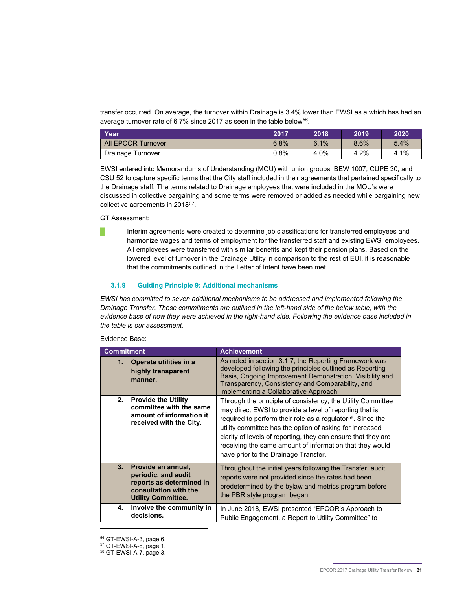transfer occurred. On average, the turnover within Drainage is 3.4% lower than EWSI as a which has had an average turnover rate of 6.7% since 2017 as seen in the table below<sup>56</sup>.

| Year                      | 2017 | 2018 | 2019 | 2020 |
|---------------------------|------|------|------|------|
| <b>All EPCOR Turnover</b> | 6.8% | 6.1% | 8.6% | 5.4% |
| Drainage Turnover         | 0.8% | 4.0% | 4.2% | 4.1% |

EWSI entered into Memorandums of Understanding (MOU) with union groups IBEW 1007, CUPE 30, and CSU 52 to capture specific terms that the City staff included in their agreements that pertained specifically to the Drainage staff. The terms related to Drainage employees that were included in the MOU's were discussed in collective bargaining and some terms were removed or added as needed while bargaining new collective agreements in 2018<sup>57</sup>.

GT Assessment:

Interim agreements were created to determine job classifications for transferred employees and harmonize wages and terms of employment for the transferred staff and existing EWSI employees. All employees were transferred with similar benefits and kept their pension plans. Based on the lowered level of turnover in the Drainage Utility in comparison to the rest of EUI, it is reasonable that the commitments outlined in the Letter of Intent have been met.

#### **3.1.9 Guiding Principle 9: Additional mechanisms**

*EWSI has committed to seven additional mechanisms to be addressed and implemented following the Drainage Transfer. These commitments are outlined in the left-hand side of the below table, with the evidence base of how they were achieved in the right-hand side. Following the evidence base included in the table is our assessment.* 

| Evidence Base: |  |
|----------------|--|
|                |  |

| <b>Commitment</b> |                                                                                                                             | <b>Achievement</b>                                                                                                                                                                                                                                                                                                                                                                                                                 |
|-------------------|-----------------------------------------------------------------------------------------------------------------------------|------------------------------------------------------------------------------------------------------------------------------------------------------------------------------------------------------------------------------------------------------------------------------------------------------------------------------------------------------------------------------------------------------------------------------------|
| 1.                | Operate utilities in a<br>highly transparent<br>manner.                                                                     | As noted in section 3.1.7, the Reporting Framework was<br>developed following the principles outlined as Reporting<br>Basis, Ongoing Improvement Demonstration, Visibility and<br>Transparency, Consistency and Comparability, and<br>implementing a Collaborative Approach.                                                                                                                                                       |
| 2.                | <b>Provide the Utility</b><br>committee with the same<br>amount of information it<br>received with the City.                | Through the principle of consistency, the Utility Committee<br>may direct EWSI to provide a level of reporting that is<br>required to perform their role as a regulator <sup>58</sup> . Since the<br>utility committee has the option of asking for increased<br>clarity of levels of reporting, they can ensure that they are<br>receiving the same amount of information that they would<br>have prior to the Drainage Transfer. |
| 3.                | Provide an annual,<br>periodic, and audit<br>reports as determined in<br>consultation with the<br><b>Utility Committee.</b> | Throughout the initial years following the Transfer, audit<br>reports were not provided since the rates had been<br>predetermined by the bylaw and metrics program before<br>the PBR style program began.                                                                                                                                                                                                                          |
| 4.                | Involve the community in<br>decisions.                                                                                      | In June 2018, EWSI presented "EPCOR's Approach to<br>Public Engagement, a Report to Utility Committee" to                                                                                                                                                                                                                                                                                                                          |

<span id="page-33-1"></span><span id="page-33-0"></span><sup>56</sup> GT-EWSI-A-3, page 6.

<sup>57</sup> GT-EWSI-A-8, page 1.

<span id="page-33-2"></span><sup>58</sup> GT-EWSI-A-7, page 3.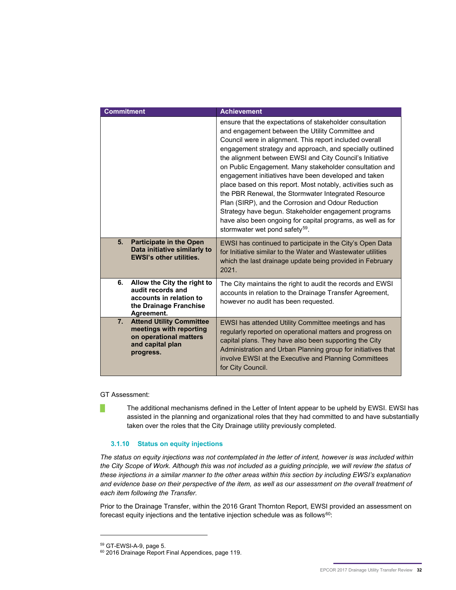| <b>Commitment</b> |                                                                                                                       | <b>Achievement</b>                                                                                                                                                                                                                                                                                                                                                                                                                                                                                                                                                                                                                                                                                                                                                   |
|-------------------|-----------------------------------------------------------------------------------------------------------------------|----------------------------------------------------------------------------------------------------------------------------------------------------------------------------------------------------------------------------------------------------------------------------------------------------------------------------------------------------------------------------------------------------------------------------------------------------------------------------------------------------------------------------------------------------------------------------------------------------------------------------------------------------------------------------------------------------------------------------------------------------------------------|
|                   |                                                                                                                       | ensure that the expectations of stakeholder consultation<br>and engagement between the Utility Committee and<br>Council were in alignment. This report included overall<br>engagement strategy and approach, and specially outlined<br>the alignment between EWSI and City Council's Initiative<br>on Public Engagement. Many stakeholder consultation and<br>engagement initiatives have been developed and taken<br>place based on this report. Most notably, activities such as<br>the PBR Renewal, the Stormwater Integrated Resource<br>Plan (SIRP), and the Corrosion and Odour Reduction<br>Strategy have begun. Stakeholder engagement programs<br>have also been ongoing for capital programs, as well as for<br>stormwater wet pond safety <sup>59</sup> . |
| 5.                | <b>Participate in the Open</b><br>Data initiative similarly to<br><b>EWSI's other utilities.</b>                      | EWSI has continued to participate in the City's Open Data<br>for Initiative similar to the Water and Wastewater utilities<br>which the last drainage update being provided in February<br>2021.                                                                                                                                                                                                                                                                                                                                                                                                                                                                                                                                                                      |
| 6.                | Allow the City the right to<br>audit records and<br>accounts in relation to<br>the Drainage Franchise<br>Agreement.   | The City maintains the right to audit the records and EWSI<br>accounts in relation to the Drainage Transfer Agreement,<br>however no audit has been requested.                                                                                                                                                                                                                                                                                                                                                                                                                                                                                                                                                                                                       |
| 7.                | <b>Attend Utility Committee</b><br>meetings with reporting<br>on operational matters<br>and capital plan<br>progress. | EWSI has attended Utility Committee meetings and has<br>regularly reported on operational matters and progress on<br>capital plans. They have also been supporting the City<br>Administration and Urban Planning group for initiatives that<br>involve EWSI at the Executive and Planning Committees<br>for City Council.                                                                                                                                                                                                                                                                                                                                                                                                                                            |

GT Assessment:

The additional mechanisms defined in the Letter of Intent appear to be upheld by EWSI. EWSI has assisted in the planning and organizational roles that they had committed to and have substantially taken over the roles that the City Drainage utility previously completed.

#### **3.1.10 Status on equity injections**

*The status on equity injections was not contemplated in the letter of intent, however is was included within the City Scope of Work. Although this was not included as a guiding principle, we will review the status of these injections in a similar manner to the other areas within this section by including EWSI's explanation and evidence base on their perspective of the item, as well as our assessment on the overall treatment of each item following the Transfer.*

Prior to the Drainage Transfer, within the 2016 Grant Thornton Report, EWSI provided an assessment on forecast equity injections and the tentative injection schedule was as follows $60$ :

<span id="page-34-1"></span><span id="page-34-0"></span>

 $59$  GT-EWSI-A-9, page 5.<br> $60$  2016 Drainage Report Final Appendices, page 119.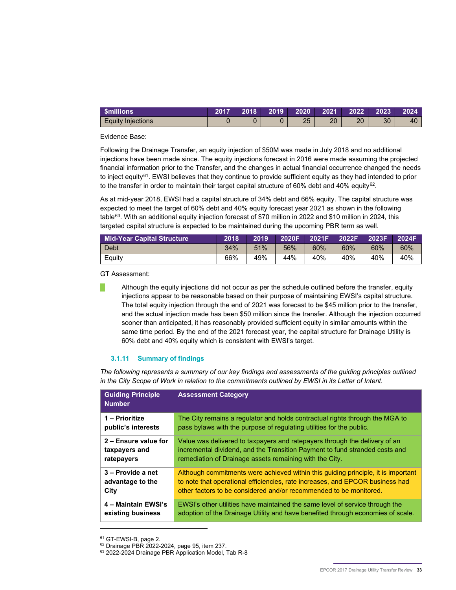| <b>Smillions</b>         | 2017 | $2018$ 2019 2020 2021 2022 |    |    |    | $\sim 2023$ | $\blacksquare$ 2024 |
|--------------------------|------|----------------------------|----|----|----|-------------|---------------------|
| <b>Equity Injections</b> |      |                            | つに | ገበ | 20 | 30          | 40                  |

Evidence Base:

Following the Drainage Transfer, an equity injection of \$50M was made in July 2018 and no additional injections have been made since. The equity injections forecast in 2016 were made assuming the projected financial information prior to the Transfer, and the changes in actual financial occurrence changed the needs to inject equity<sup>[61](#page-35-0)</sup>. EWSI believes that they continue to provide sufficient equity as they had intended to prior to the transfer in order to maintain their target capital structure of 60% debt and 40% equity<sup>62</sup>.

As at mid-year 2018, EWSI had a capital structure of 34% debt and 66% equity. The capital structure was expected to meet the target of 60% debt and 40% equity forecast year 2021 as shown in the following table<sup>[63](#page-35-2)</sup>. With an additional equity injection forecast of \$70 million in 2022 and \$10 million in 2024, this targeted capital structure is expected to be maintained during the upcoming PBR term as well.

| Mid-Year Capital Structure | 2018 | 2019 | 2020F 2021F |     | 2022F | 2023F | 2024F |
|----------------------------|------|------|-------------|-----|-------|-------|-------|
| Debt                       | 34%  | 51%  | 56%         | 60% | 60%   | 60%   | 60%   |
| Equity                     | 66%  | 49%  | 44%         | 40% | 40%   | 40%   | 40%   |

GT Assessment:

Although the equity injections did not occur as per the schedule outlined before the transfer, equity injections appear to be reasonable based on their purpose of maintaining EWSI's capital structure. The total equity injection through the end of 2021 was forecast to be \$45 million prior to the transfer, and the actual injection made has been \$50 million since the transfer. Although the injection occurred sooner than anticipated, it has reasonably provided sufficient equity in similar amounts within the same time period. By the end of the 2021 forecast year, the capital structure for Drainage Utility is 60% debt and 40% equity which is consistent with EWSI's target.

#### **3.1.11 Summary of findings**

*The following represents a summary of our key findings and assessments of the guiding principles outlined in the City Scope of Work in relation to the commitments outlined by EWSI in its Letter of Intent.* 

| <b>Guiding Principle</b><br><b>Number</b> | <b>Assessment Category</b>                                                        |
|-------------------------------------------|-----------------------------------------------------------------------------------|
| 1 – Prioritize                            | The City remains a regulator and holds contractual rights through the MGA to      |
| public's interests                        | pass bylaws with the purpose of regulating utilities for the public.              |
| 2 – Ensure value for                      | Value was delivered to taxpayers and ratepayers through the delivery of an        |
| taxpayers and                             | incremental dividend, and the Transition Payment to fund stranded costs and       |
| ratepayers                                | remediation of Drainage assets remaining with the City.                           |
| 3 – Provide a net                         | Although commitments were achieved within this guiding principle, it is important |
| advantage to the                          | to note that operational efficiencies, rate increases, and EPCOR business had     |
| City                                      | other factors to be considered and/or recommended to be monitored.                |
| 4 - Maintain EWSI's                       | EWSI's other utilities have maintained the same level of service through the      |
| existing business                         | adoption of the Drainage Utility and have benefited through economies of scale.   |

<span id="page-35-2"></span><span id="page-35-1"></span><span id="page-35-0"></span>

 $61$  GT-EWSI-B, page 2.<br> $62$  Drainage PBR 2022-2024, page 95, item 237.

<sup>63 2022-2024</sup> Drainage PBR Application Model, Tab R-8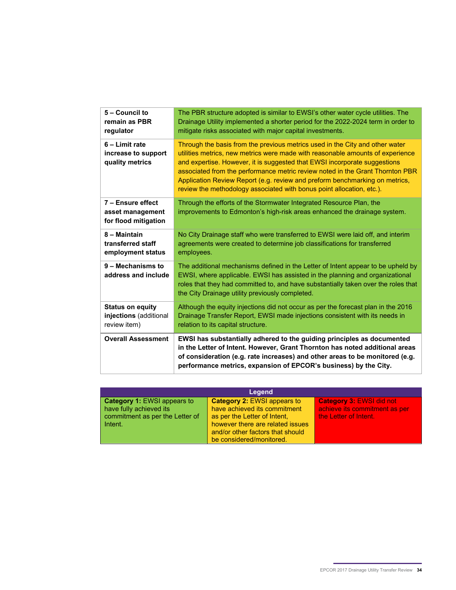| 5 - Council to<br>remain as PBR<br>regulator                      | The PBR structure adopted is similar to EWSI's other water cycle utilities. The<br>Drainage Utility implemented a shorter period for the 2022-2024 term in order to<br>mitigate risks associated with major capital investments.                                                                                                                                                                                                                                                     |
|-------------------------------------------------------------------|--------------------------------------------------------------------------------------------------------------------------------------------------------------------------------------------------------------------------------------------------------------------------------------------------------------------------------------------------------------------------------------------------------------------------------------------------------------------------------------|
| 6 - Limit rate<br>increase to support<br>quality metrics          | Through the basis from the previous metrics used in the City and other water<br>utilities metrics, new metrics were made with reasonable amounts of experience<br>and expertise. However, it is suggested that EWSI incorporate suggestions<br>associated from the performance metric review noted in the Grant Thornton PBR<br>Application Review Report (e.g. review and preform benchmarking on metrics,<br>review the methodology associated with bonus point allocation, etc.). |
| 7 - Ensure effect<br>asset management<br>for flood mitigation     | Through the efforts of the Stormwater Integrated Resource Plan, the<br>improvements to Edmonton's high-risk areas enhanced the drainage system.                                                                                                                                                                                                                                                                                                                                      |
| 8 - Maintain<br>transferred staff<br>employment status            | No City Drainage staff who were transferred to EWSI were laid off, and interim<br>agreements were created to determine job classifications for transferred<br>employees.                                                                                                                                                                                                                                                                                                             |
| 9 - Mechanisms to<br>address and include                          | The additional mechanisms defined in the Letter of Intent appear to be upheld by<br>EWSI, where applicable. EWSI has assisted in the planning and organizational<br>roles that they had committed to, and have substantially taken over the roles that<br>the City Drainage utility previously completed.                                                                                                                                                                            |
| <b>Status on equity</b><br>injections (additional<br>review item) | Although the equity injections did not occur as per the forecast plan in the 2016<br>Drainage Transfer Report, EWSI made injections consistent with its needs in<br>relation to its capital structure.                                                                                                                                                                                                                                                                               |
| <b>Overall Assessment</b>                                         | EWSI has substantially adhered to the guiding principles as documented<br>in the Letter of Intent. However, Grant Thornton has noted additional areas<br>of consideration (e.g. rate increases) and other areas to be monitored (e.g.<br>performance metrics, expansion of EPCOR's business) by the City.                                                                                                                                                                            |

| Legend                                                                                                      |                                                                                                                                                                                                        |                                                                                           |  |  |
|-------------------------------------------------------------------------------------------------------------|--------------------------------------------------------------------------------------------------------------------------------------------------------------------------------------------------------|-------------------------------------------------------------------------------------------|--|--|
| <b>Category 1: EWSI appears to</b><br>have fully achieved its<br>commitment as per the Letter of<br>Intent. | <b>Category 2: EWSI appears to</b><br>have achieved its commitment<br>as per the Letter of Intent,<br>however there are related issues<br>and/or other factors that should<br>be considered/monitored. | <b>Category 3: EWSI did not</b><br>achieve its commitment as per<br>the Letter of Intent. |  |  |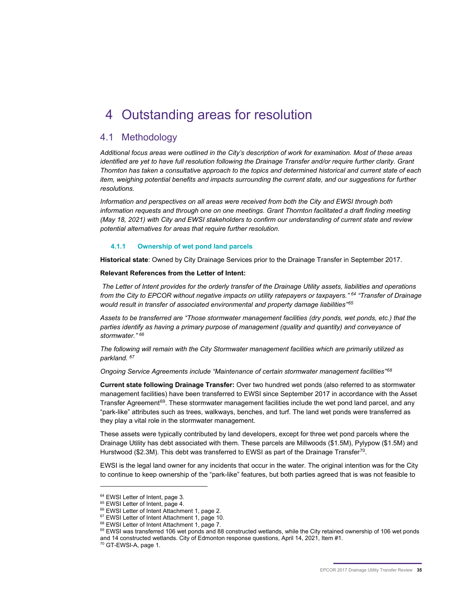# 4 Outstanding areas for resolution

### 4.1 Methodology

*Additional focus areas were outlined in the City's description of work for examination. Most of these areas identified are yet to have full resolution following the Drainage Transfer and/or require further clarity. Grant Thornton has taken a consultative approach to the topics and determined historical and current state of each item, weighing potential benefits and impacts surrounding the current state, and our suggestions for further resolutions.* 

*Information and perspectives on all areas were received from both the City and EWSI through both information requests and through one on one meetings. Grant Thornton facilitated a draft finding meeting (May 18, 2021) with City and EWSI stakeholders to confirm our understanding of current state and review potential alternatives for areas that require further resolution.*

#### **4.1.1 Ownership of wet pond land parcels**

**Historical state**: Owned by City Drainage Services prior to the Drainage Transfer in September 2017.

**Relevant References from the Letter of Intent:** 

*The Letter of Intent provides for the orderly transfer of the Drainage Utility assets, liabilities and operations from the City to EPCOR without negative impacts on utility ratepayers or taxpayers." [64](#page-37-0) "Transfer of Drainage would result in transfer of associated environmental and property damage liabilities"[65](#page-37-1)*

*Assets to be transferred are "Those stormwater management facilities (dry ponds, wet ponds, etc.) that the parties identify as having a primary purpose of management (quality and quantity) and conveyance of stormwater." [66](#page-37-2)*

*The following will remain with the City Stormwater management facilities which are primarily utilized as parkland. [67](#page-37-3)*

*Ongoing Service Agreements include "Maintenance of certain stormwater management facilities"[68](#page-37-4)*

**Current state following Drainage Transfer:** Over two hundred wet ponds (also referred to as stormwater management facilities) have been transferred to EWSI since September 2017 in accordance with the Asset Transfer Agreement<sup>69</sup>. These stormwater management facilities include the wet pond land parcel, and any "park-like" attributes such as trees, walkways, benches, and turf. The land wet ponds were transferred as they play a vital role in the stormwater management.

These assets were typically contributed by land developers, except for three wet pond parcels where the Drainage Utility has debt associated with them. These parcels are Millwoods (\$1.5M), Pylypow (\$1.5M) and Hurstwood (\$2.3M). This debt was transferred to EWSI as part of the Drainage Transfer<sup>[70](#page-37-6)</sup>.

EWSI is the legal land owner for any incidents that occur in the water. The original intention was for the City to continue to keep ownership of the "park-like" features, but both parties agreed that is was not feasible to

<span id="page-37-1"></span><span id="page-37-0"></span>

<span id="page-37-2"></span>

 $64$  EWSI Letter of Intent, page 3.<br> $65$  EWSI Letter of Intent, page 4.<br> $66$  EWSI Letter of Intent Attachment 1, page 2.

<span id="page-37-3"></span> $67$  EWSI Letter of Intent Attachment 1, page 10.<br> $68$  EWSI Letter of Intent Attachment 1, page 7.

<span id="page-37-5"></span><span id="page-37-4"></span><sup>69</sup> EWSI was transferred 106 wet ponds and 88 constructed wetlands, while the City retained ownership of 106 wet ponds and 14 constructed wetlands. City of Edmonton response questions, April 14, 2021, Item #1.<br><sup>70</sup> GT-EWSI-A, page 1.

<span id="page-37-6"></span>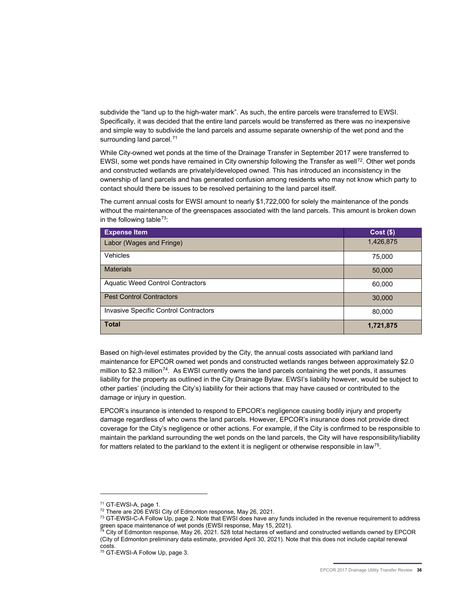subdivide the "land up to the high-water mark". As such, the entire parcels were transferred to EWSI. Specifically, it was decided that the entire land parcels would be transferred as there was no inexpensive and simple way to subdivide the land parcels and assume separate ownership of the wet pond and the surrounding land parcel.<sup>[71](#page-38-0)</sup>

While City-owned wet ponds at the time of the Drainage Transfer in September 2017 were transferred to EWSI, some wet ponds have remained in City ownership following the Transfer as well<sup>72</sup>. Other wet ponds and constructed wetlands are privately/developed owned. This has introduced an inconsistency in the ownership of land parcels and has generated confusion among residents who may not know which party to contact should there be issues to be resolved pertaining to the land parcel itself.

The current annual costs for EWSI amount to nearly \$1,722,000 for solely the maintenance of the ponds without the maintenance of the greenspaces associated with the land parcels. This amount is broken down in the following table<sup>[73](#page-38-2)</sup>:

| <b>Expense Item</b>                          | $Cost($ \$) |
|----------------------------------------------|-------------|
| Labor (Wages and Fringe)                     | 1,426,875   |
| Vehicles                                     | 75,000      |
| <b>Materials</b>                             | 50,000      |
| <b>Aquatic Weed Control Contractors</b>      | 60,000      |
| <b>Pest Control Contractors</b>              | 30,000      |
| <b>Invasive Specific Control Contractors</b> | 80,000      |
| <b>Total</b>                                 | 1,721,875   |

Based on high-level estimates provided by the City, the annual costs associated with parkland land maintenance for EPCOR owned wet ponds and constructed wetlands ranges between approximately \$2.0 million to \$2.3 million<sup>[74](#page-38-3)</sup>. As EWSI currently owns the land parcels containing the wet ponds, it assumes liability for the property as outlined in the City Drainage Bylaw. EWSI's liability however, would be subject to other parties' (including the City's) liability for their actions that may have caused or contributed to the damage or injury in question.

EPCOR's insurance is intended to respond to EPCOR's negligence causing bodily injury and property damage regardless of who owns the land parcels. However, EPCOR's insurance does not provide direct coverage for the City's negligence or other actions. For example, if the City is confirmed to be responsible to maintain the parkland surrounding the wet ponds on the land parcels, the City will have responsibility/liability for matters related to the parkland to the extent it is negligent or otherwise responsible in law<sup>75</sup>.

<span id="page-38-1"></span><span id="page-38-0"></span><sup>71</sup> GT-EWSI-A, page 1.

<sup>&</sup>lt;sup>72</sup> There are 206 EWSI City of Edmonton response, May 26, 2021.

<span id="page-38-2"></span><sup>&</sup>lt;sup>73</sup> GT-EWSI-C-A Follow Up, page 2. Note that EWSI does have any funds included in the revenue requirement to address green space maintenance of wet ponds (EWSI response, May 15, 2021).<br><sup>74</sup> City of Edmonton repeates, May

<span id="page-38-3"></span><sup>&</sup>lt;sup>4</sup> City of Edmonton response, May 26, 2021. 528 total hectares of wetland and constructed wetlands owned by EPCOR (City of Edmonton preliminary data estimate, provided April 30, 2021). Note that this does not include capital renewal

<span id="page-38-4"></span><sup>&</sup>lt;sup>75</sup> GT-EWSI-A Follow Up, page 3.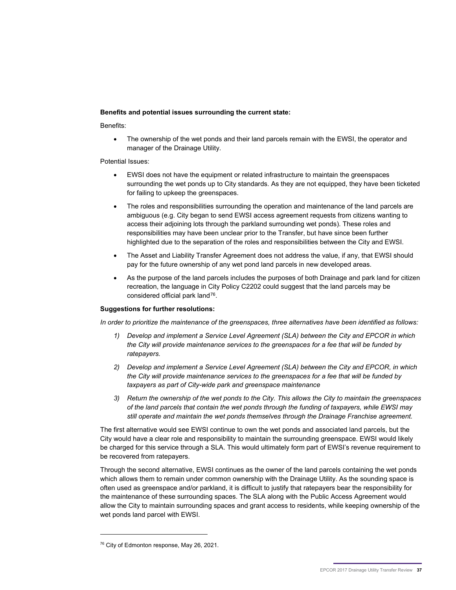#### **Benefits and potential issues surrounding the current state:**

Benefits:

• The ownership of the wet ponds and their land parcels remain with the EWSI, the operator and manager of the Drainage Utility.

Potential Issues:

- EWSI does not have the equipment or related infrastructure to maintain the greenspaces surrounding the wet ponds up to City standards. As they are not equipped, they have been ticketed for failing to upkeep the greenspaces.
- The roles and responsibilities surrounding the operation and maintenance of the land parcels are ambiguous (e.g. City began to send EWSI access agreement requests from citizens wanting to access their adjoining lots through the parkland surrounding wet ponds). These roles and responsibilities may have been unclear prior to the Transfer, but have since been further highlighted due to the separation of the roles and responsibilities between the City and EWSI.
- The Asset and Liability Transfer Agreement does not address the value, if any, that EWSI should pay for the future ownership of any wet pond land parcels in new developed areas.
- As the purpose of the land parcels includes the purposes of both Drainage and park land for citizen recreation, the language in City Policy C2202 could suggest that the land parcels may be considered official park land[76](#page-39-0).

#### **Suggestions for further resolutions:**

In order to prioritize the maintenance of the greenspaces, three alternatives have been identified as follows:

- *1) Develop and implement a Service Level Agreement (SLA) between the City and EPCOR in which the City will provide maintenance services to the greenspaces for a fee that will be funded by ratepayers.*
- *2) Develop and implement a Service Level Agreement (SLA) between the City and EPCOR, in which the City will provide maintenance services to the greenspaces for a fee that will be funded by taxpayers as part of City-wide park and greenspace maintenance*
- *3) Return the ownership of the wet ponds to the City. This allows the City to maintain the greenspaces of the land parcels that contain the wet ponds through the funding of taxpayers, while EWSI may still operate and maintain the wet ponds themselves through the Drainage Franchise agreement.*

The first alternative would see EWSI continue to own the wet ponds and associated land parcels, but the City would have a clear role and responsibility to maintain the surrounding greenspace. EWSI would likely be charged for this service through a SLA. This would ultimately form part of EWSI's revenue requirement to be recovered from ratepayers.

Through the second alternative, EWSI continues as the owner of the land parcels containing the wet ponds which allows them to remain under common ownership with the Drainage Utility. As the sounding space is often used as greenspace and/or parkland, it is difficult to justify that ratepayers bear the responsibility for the maintenance of these surrounding spaces. The SLA along with the Public Access Agreement would allow the City to maintain surrounding spaces and grant access to residents, while keeping ownership of the wet ponds land parcel with EWSI.

<span id="page-39-0"></span><sup>&</sup>lt;sup>76</sup> City of Edmonton response, May 26, 2021.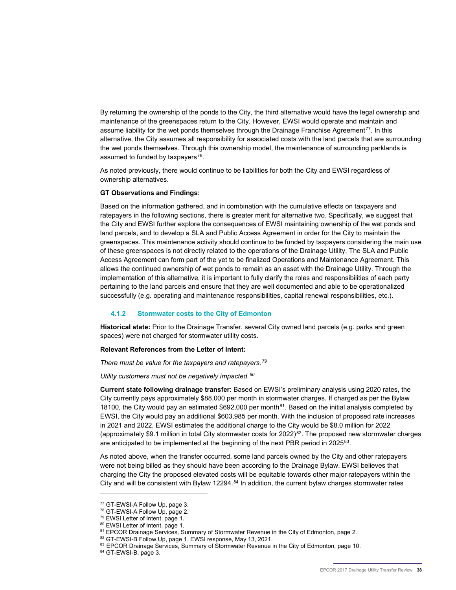By returning the ownership of the ponds to the City, the third alternative would have the legal ownership and maintenance of the greenspaces return to the City. However, EWSI would operate and maintain and assume liability for the wet ponds themselves through the Drainage Franchise Agreement<sup>[77](#page-40-0)</sup>. In this alternative, the City assumes all responsibility for associated costs with the land parcels that are surrounding the wet ponds themselves. Through this ownership model, the maintenance of surrounding parklands is assumed to funded by taxpayers $78$ .

As noted previously, there would continue to be liabilities for both the City and EWSI regardless of ownership alternatives.

#### **GT Observations and Findings:**

Based on the information gathered, and in combination with the cumulative effects on taxpayers and ratepayers in the following sections, there is greater merit for alternative two. Specifically, we suggest that the City and EWSI further explore the consequences of EWSI maintaining ownership of the wet ponds and land parcels, and to develop a SLA and Public Access Agreement in order for the City to maintain the greenspaces. This maintenance activity should continue to be funded by taxpayers considering the main use of these greenspaces is not directly related to the operations of the Drainage Utility. The SLA and Public Access Agreement can form part of the yet to be finalized Operations and Maintenance Agreement. This allows the continued ownership of wet ponds to remain as an asset with the Drainage Utility. Through the implementation of this alternative, it is important to fully clarify the roles and responsibilities of each party pertaining to the land parcels and ensure that they are well documented and able to be operationalized successfully (e.g. operating and maintenance responsibilities, capital renewal responsibilities, etc.).

#### **4.1.2 Stormwater costs to the City of Edmonton**

**Historical state:** Prior to the Drainage Transfer, several City owned land parcels (e.g. parks and green spaces) were not charged for stormwater utility costs.

#### **Relevant References from the Letter of Intent:**

*There must be value for the taxpayers and ratepayers.[79](#page-40-2)*

*Utility customers must not be negatively impacted.[80](#page-40-3)*

**Current state following drainage transfer**: Based on EWSI's preliminary analysis using 2020 rates, the City currently pays approximately \$88,000 per month in stormwater charges. If charged as per the Bylaw 1[81](#page-40-4)00, the City would pay an estimated \$692,000 per month<sup>81</sup>. Based on the initial analysis completed by EWSI, the City would pay an additional \$603,985 per month. With the inclusion of proposed rate increases in 2021 and 2022, EWSI estimates the additional charge to the City would be \$8.0 million for 2022 (approximately \$9.1 million in total City stormwater costs for 2022)<sup>82</sup>. The proposed new stormwater charges are anticipated to be implemented at the beginning of the next PBR period in  $2025^{83}$  $2025^{83}$  $2025^{83}$ .

As noted above, when the transfer occurred, some land parcels owned by the City and other ratepayers were not being billed as they should have been according to the Drainage Bylaw. EWSI believes that charging the City the proposed elevated costs will be equitable towards other major ratepayers within the City and will be consistent with Bylaw 12294.<sup>[84](#page-40-7)</sup> In addition, the current bylaw charges stormwater rates

<span id="page-40-2"></span>

<span id="page-40-4"></span><span id="page-40-3"></span>

<span id="page-40-5"></span>

<span id="page-40-1"></span><span id="page-40-0"></span><sup>&</sup>lt;sup>77</sup> GT-EWSI-A Follow Up, page 3.<br><sup>78</sup> GT-EWSI-A Follow Up, page 2.<br><sup>79</sup> EWSI Letter of Intent, page 1.<br><sup>80</sup> EWSI Letter of Intent, page 1.<br><sup>81</sup> EPCOR Drainage Services, Summary of Stormwater Revenue in the City of Edmonto

<span id="page-40-7"></span><span id="page-40-6"></span><sup>84</sup> GT-EWSI-B, page 3.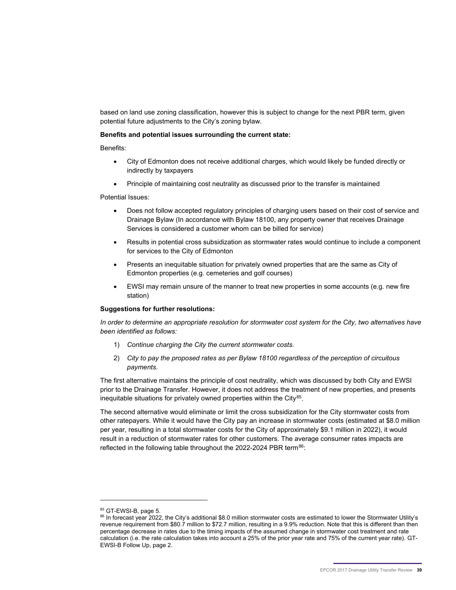based on land use zoning classification, however this is subject to change for the next PBR term, given potential future adjustments to the City's zoning bylaw.

#### **Benefits and potential issues surrounding the current state:**

Benefits:

- City of Edmonton does not receive additional charges, which would likely be funded directly or indirectly by taxpayers
- Principle of maintaining cost neutrality as discussed prior to the transfer is maintained

Potential Issues:

- Does not follow accepted regulatory principles of charging users based on their cost of service and Drainage Bylaw (In accordance with Bylaw 18100, any property owner that receives Drainage Services is considered a customer whom can be billed for service)
- Results in potential cross subsidization as stormwater rates would continue to include a component for services to the City of Edmonton
- Presents an inequitable situation for privately owned properties that are the same as City of Edmonton properties (e.g. cemeteries and golf courses)
- EWSI may remain unsure of the manner to treat new properties in some accounts (e.g. new fire station)

#### **Suggestions for further resolutions:**

*In order to determine an appropriate resolution for stormwater cost system for the City, two alternatives have been identified as follows:* 

- 1) *Continue charging the City the current stormwater costs.*
- 2) *City to pay the proposed rates as per Bylaw 18100 regardless of the perception of circuitous payments.*

The first alternative maintains the principle of cost neutrality, which was discussed by both City and EWSI prior to the Drainage Transfer. However, it does not address the treatment of new properties, and presents inequitable situations for privately owned properties within the City $85$ .

The second alternative would eliminate or limit the cross subsidization for the City stormwater costs from other ratepayers. While it would have the City pay an increase in stormwater costs (estimated at \$8.0 million per year, resulting in a total stormwater costs for the City of approximately \$9.1 million in 2022), it would result in a reduction of stormwater rates for other customers. The average consumer rates impacts are reflected in the following table throughout the 2022-2024 PBR term $86$ :

<sup>85</sup> GT-EWSI-B, page 5.

<span id="page-41-1"></span><span id="page-41-0"></span><sup>86</sup> In forecast year 2022, the City's additional \$8.0 million stormwater costs are estimated to lower the Stormwater Utility's revenue requirement from \$80.7 million to \$72.7 million, resulting in a 9.9% reduction. Note that this is different than then percentage decrease in rates due to the timing impacts of the assumed change in stormwater cost treatment and rate calculation (i.e. the rate calculation takes into account a 25% of the prior year rate and 75% of the current year rate). GT-EWSI-B Follow Up, page 2.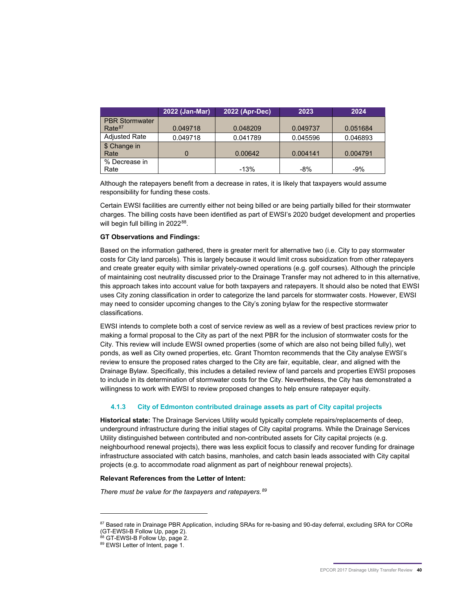|                       | 2022 (Jan-Mar) | 2022 (Apr-Dec) | 2023     | 2024     |
|-----------------------|----------------|----------------|----------|----------|
| <b>PBR Stormwater</b> |                |                |          |          |
| Rate <sup>87</sup>    | 0.049718       | 0.048209       | 0.049737 | 0.051684 |
| <b>Adjusted Rate</b>  | 0.049718       | 0.041789       | 0.045596 | 0.046893 |
| \$ Change in          |                |                |          |          |
| Rate                  |                | 0.00642        | 0.004141 | 0.004791 |
| % Decrease in         |                |                |          |          |
| Rate                  |                | $-13%$         | $-8%$    | $-9%$    |

Although the ratepayers benefit from a decrease in rates, it is likely that taxpayers would assume responsibility for funding these costs.

Certain EWSI facilities are currently either not being billed or are being partially billed for their stormwater charges. The billing costs have been identified as part of EWSI's 2020 budget development and properties will begin full billing in 2022<sup>[88](#page-42-1)</sup>.

#### **GT Observations and Findings:**

Based on the information gathered, there is greater merit for alternative two (i.e. City to pay stormwater costs for City land parcels). This is largely because it would limit cross subsidization from other ratepayers and create greater equity with similar privately-owned operations (e.g. golf courses). Although the principle of maintaining cost neutrality discussed prior to the Drainage Transfer may not adhered to in this alternative, this approach takes into account value for both taxpayers and ratepayers. It should also be noted that EWSI uses City zoning classification in order to categorize the land parcels for stormwater costs. However, EWSI may need to consider upcoming changes to the City's zoning bylaw for the respective stormwater classifications.

EWSI intends to complete both a cost of service review as well as a review of best practices review prior to making a formal proposal to the City as part of the next PBR for the inclusion of stormwater costs for the City. This review will include EWSI owned properties (some of which are also not being billed fully), wet ponds, as well as City owned properties, etc. Grant Thornton recommends that the City analyse EWSI's review to ensure the proposed rates charged to the City are fair, equitable, clear, and aligned with the Drainage Bylaw. Specifically, this includes a detailed review of land parcels and properties EWSI proposes to include in its determination of stormwater costs for the City. Nevertheless, the City has demonstrated a willingness to work with EWSI to review proposed changes to help ensure ratepayer equity.

#### **4.1.3 City of Edmonton contributed drainage assets as part of City capital projects**

**Historical state:** The Drainage Services Utility would typically complete repairs/replacements of deep, underground infrastructure during the initial stages of City capital programs. While the Drainage Services Utility distinguished between contributed and non-contributed assets for City capital projects (e.g. neighbourhood renewal projects), there was less explicit focus to classify and recover funding for drainage infrastructure associated with catch basins, manholes, and catch basin leads associated with City capital projects (e.g. to accommodate road alignment as part of neighbour renewal projects).

#### **Relevant References from the Letter of Intent:**

*There must be value for the taxpayers and ratepayers.[89](#page-42-2)*

<span id="page-42-0"></span><sup>87</sup> Based rate in Drainage PBR Application, including SRAs for re-basing and 90-day deferral, excluding SRA for CORe (GT-EWSI-B Follow Up, page 2).<br><sup>88</sup> GT-EWSI-B Follow Up, page 2.

<span id="page-42-2"></span><span id="page-42-1"></span><sup>89</sup> EWSI Letter of Intent, page 1.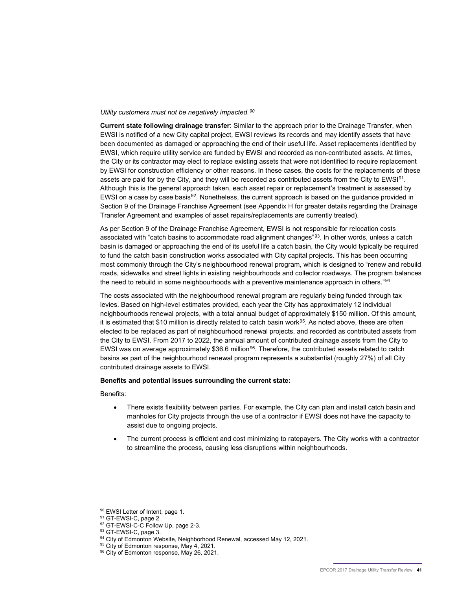#### *Utility customers must not be negatively impacted.[90](#page-43-0)*

**Current state following drainage transfer**: Similar to the approach prior to the Drainage Transfer, when EWSI is notified of a new City capital project, EWSI reviews its records and may identify assets that have been documented as damaged or approaching the end of their useful life. Asset replacements identified by EWSI, which require utility service are funded by EWSI and recorded as non-contributed assets. At times, the City or its contractor may elect to replace existing assets that were not identified to require replacement by EWSI for construction efficiency or other reasons. In these cases, the costs for the replacements of these assets are paid for by the City, and they will be recorded as contributed assets from the City to EWSI<sup>91</sup>. Although this is the general approach taken, each asset repair or replacement's treatment is assessed by EWSI on a case by case basis<sup>[92](#page-43-2)</sup>. Nonetheless, the current approach is based on the guidance provided in Section 9 of the Drainage Franchise Agreement (see Appendix H for greater details regarding the Drainage Transfer Agreement and examples of asset repairs/replacements are currently treated).

As per Section 9 of the Drainage Franchise Agreement, EWSI is not responsible for relocation costs associated with "catch basins to accommodate road alignment changes"[93.](#page-43-3) In other words, unless a catch basin is damaged or approaching the end of its useful life a catch basin, the City would typically be required to fund the catch basin construction works associated with City capital projects. This has been occurring most commonly through the City's neighbourhood renewal program, which is designed to "renew and rebuild roads, sidewalks and street lights in existing neighbourhoods and collector roadways. The program balances the need to rebuild in some neighbourhoods with a preventive maintenance approach in others."<sup>[94](#page-43-4)</sup>

The costs associated with the neighbourhood renewal program are regularly being funded through tax levies. Based on high-level estimates provided, each year the City has approximately 12 individual neighbourhoods renewal projects, with a total annual budget of approximately \$150 million. Of this amount, it is estimated that \$10 million is directly related to catch basin work<sup>95</sup>. As noted above, these are often elected to be replaced as part of neighbourhood renewal projects, and recorded as contributed assets from the City to EWSI. From 2017 to 2022, the annual amount of contributed drainage assets from the City to EWSI was on average approximately \$36.6 million<sup>[96](#page-43-6)</sup>. Therefore, the contributed assets related to catch basins as part of the neighbourhood renewal program represents a substantial (roughly 27%) of all City contributed drainage assets to EWSI.

#### **Benefits and potential issues surrounding the current state:**

Benefits:

- There exists flexibility between parties. For example, the City can plan and install catch basin and manholes for City projects through the use of a contractor if EWSI does not have the capacity to assist due to ongoing projects.
- The current process is efficient and cost minimizing to ratepayers. The City works with a contractor to streamline the process, causing less disruptions within neighbourhoods.

<span id="page-43-1"></span><span id="page-43-0"></span><sup>&</sup>lt;sup>90</sup> EWSI Letter of Intent, page 1.<br><sup>91</sup> GT-EWSI-C, page 2.

<span id="page-43-2"></span><sup>92</sup> GT-EWSI-C-C Follow Up, page 2-3.

<sup>93</sup> GT-EWSI-C, page 3.

<span id="page-43-6"></span><span id="page-43-5"></span><span id="page-43-4"></span><span id="page-43-3"></span> $94$  City of Edmonton Website, Neighborhood Renewal, accessed May 12, 2021.<br><sup>95</sup> City of Edmonton response, May 4, 2021.

<sup>96</sup> City of Edmonton response, May 26, 2021.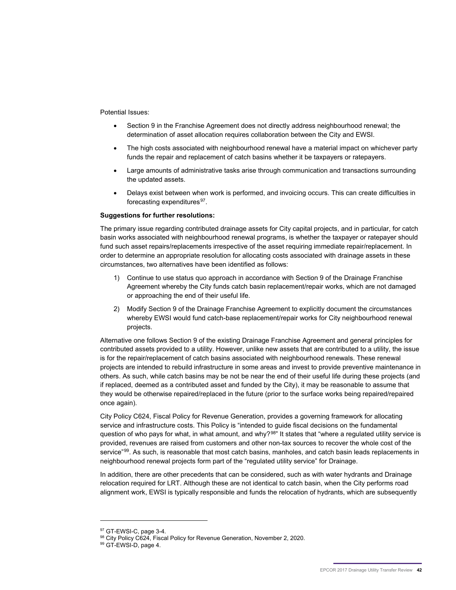Potential Issues:

- Section 9 in the Franchise Agreement does not directly address neighbourhood renewal; the determination of asset allocation requires collaboration between the City and EWSI.
- The high costs associated with neighbourhood renewal have a material impact on whichever party funds the repair and replacement of catch basins whether it be taxpayers or ratepayers.
- Large amounts of administrative tasks arise through communication and transactions surrounding the updated assets.
- Delays exist between when work is performed, and invoicing occurs. This can create difficulties in forecasting expenditures $97$ .

#### **Suggestions for further resolutions:**

The primary issue regarding contributed drainage assets for City capital projects, and in particular, for catch basin works associated with neighbourhood renewal programs, is whether the taxpayer or ratepayer should fund such asset repairs/replacements irrespective of the asset requiring immediate repair/replacement. In order to determine an appropriate resolution for allocating costs associated with drainage assets in these circumstances, two alternatives have been identified as follows:

- 1) Continue to use status quo approach in accordance with Section 9 of the Drainage Franchise Agreement whereby the City funds catch basin replacement/repair works, which are not damaged or approaching the end of their useful life.
- 2) Modify Section 9 of the Drainage Franchise Agreement to explicitly document the circumstances whereby EWSI would fund catch-base replacement/repair works for City neighbourhood renewal projects.

Alternative one follows Section 9 of the existing Drainage Franchise Agreement and general principles for contributed assets provided to a utility. However, unlike new assets that are contributed to a utility, the issue is for the repair/replacement of catch basins associated with neighbourhood renewals. These renewal projects are intended to rebuild infrastructure in some areas and invest to provide preventive maintenance in others. As such, while catch basins may be not be near the end of their useful life during these projects (and if replaced, deemed as a contributed asset and funded by the City), it may be reasonable to assume that they would be otherwise repaired/replaced in the future (prior to the surface works being repaired/repaired once again).

City Policy C624, Fiscal Policy for Revenue Generation, provides a governing framework for allocating service and infrastructure costs. This Policy is "intended to guide fiscal decisions on the fundamental question of who pays for what, in what amount, and why?<sup>[98](#page-44-1)</sup>" It states that "where a regulated utility service is provided, revenues are raised from customers and other non-tax sources to recover the whole cost of the service"<sup>[99](#page-44-2)</sup>. As such, is reasonable that most catch basins, manholes, and catch basin leads replacements in neighbourhood renewal projects form part of the "regulated utility service" for Drainage.

In addition, there are other precedents that can be considered, such as with water hydrants and Drainage relocation required for LRT. Although these are not identical to catch basin, when the City performs road alignment work, EWSI is typically responsible and funds the relocation of hydrants, which are subsequently

<sup>97</sup> GT-EWSI-C, page 3-4.

<span id="page-44-2"></span><span id="page-44-1"></span><span id="page-44-0"></span><sup>&</sup>lt;sup>98</sup> City Policy C624, Fiscal Policy for Revenue Generation, November 2, 2020.<br><sup>99</sup> GT-EWSI-D, page 4.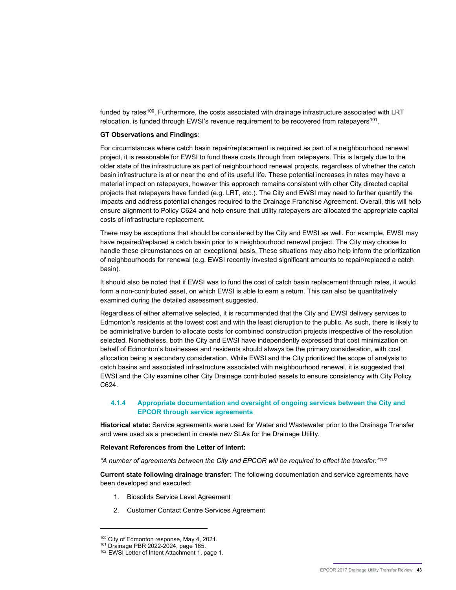funded by rates<sup>[100](#page-45-0)</sup>. Furthermore, the costs associated with drainage infrastructure associated with LRT relocation, is funded through EWSI's revenue requirement to be recovered from ratepayers<sup>[101](#page-45-1)</sup>.

#### **GT Observations and Findings:**

For circumstances where catch basin repair/replacement is required as part of a neighbourhood renewal project, it is reasonable for EWSI to fund these costs through from ratepayers. This is largely due to the older state of the infrastructure as part of neighbourhood renewal projects, regardless of whether the catch basin infrastructure is at or near the end of its useful life. These potential increases in rates may have a material impact on ratepayers, however this approach remains consistent with other City directed capital projects that ratepayers have funded (e.g. LRT, etc.). The City and EWSI may need to further quantify the impacts and address potential changes required to the Drainage Franchise Agreement. Overall, this will help ensure alignment to Policy C624 and help ensure that utility ratepayers are allocated the appropriate capital costs of infrastructure replacement.

There may be exceptions that should be considered by the City and EWSI as well. For example, EWSI may have repaired/replaced a catch basin prior to a neighbourhood renewal project. The City may choose to handle these circumstances on an exceptional basis. These situations may also help inform the prioritization of neighbourhoods for renewal (e.g. EWSI recently invested significant amounts to repair/replaced a catch basin).

It should also be noted that if EWSI was to fund the cost of catch basin replacement through rates, it would form a non-contributed asset, on which EWSI is able to earn a return. This can also be quantitatively examined during the detailed assessment suggested.

Regardless of either alternative selected, it is recommended that the City and EWSI delivery services to Edmonton's residents at the lowest cost and with the least disruption to the public. As such, there is likely to be administrative burden to allocate costs for combined construction projects irrespective of the resolution selected. Nonetheless, both the City and EWSI have independently expressed that cost minimization on behalf of Edmonton's businesses and residents should always be the primary consideration, with cost allocation being a secondary consideration. While EWSI and the City prioritized the scope of analysis to catch basins and associated infrastructure associated with neighbourhood renewal, it is suggested that EWSI and the City examine other City Drainage contributed assets to ensure consistency with City Policy C624.

#### **4.1.4 Appropriate documentation and oversight of ongoing services between the City and EPCOR through service agreements**

**Historical state:** Service agreements were used for Water and Wastewater prior to the Drainage Transfer and were used as a precedent in create new SLAs for the Drainage Utility.

#### **Relevant References from the Letter of Intent:**

*"A number of agreements between the City and EPCOR will be required to effect the transfer."[102](#page-45-2)*

**Current state following drainage transfer:** The following documentation and service agreements have been developed and executed:

- 1. Biosolids Service Level Agreement
- 2. Customer Contact Centre Services Agreement

<sup>100</sup> City of Edmonton response, May 4, 2021.

<span id="page-45-2"></span><span id="page-45-1"></span><span id="page-45-0"></span><sup>101</sup> Drainage PBR 2022-2024, page 165.

<sup>102</sup> EWSI Letter of Intent Attachment 1, page 1.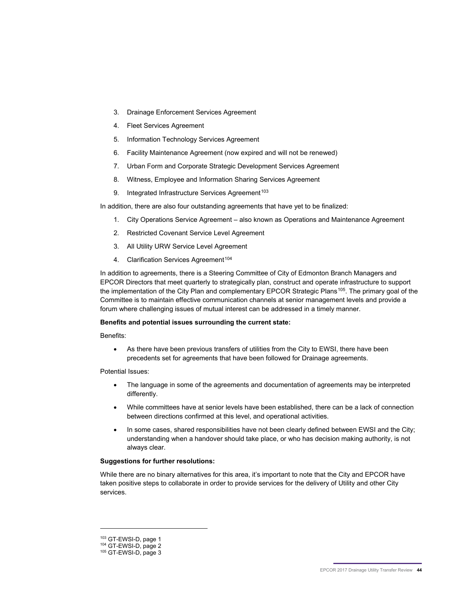- 3. Drainage Enforcement Services Agreement
- 4. Fleet Services Agreement
- 5. Information Technology Services Agreement
- 6. Facility Maintenance Agreement (now expired and will not be renewed)
- 7. Urban Form and Corporate Strategic Development Services Agreement
- 8. Witness, Employee and Information Sharing Services Agreement
- 9. Integrated Infrastructure Services Agreement<sup>103</sup>

In addition, there are also four outstanding agreements that have yet to be finalized:

- 1. City Operations Service Agreement also known as Operations and Maintenance Agreement
- 2. Restricted Covenant Service Level Agreement
- 3. All Utility URW Service Level Agreement
- 4. Clarification Services Agreement<sup>[104](#page-46-1)</sup>

In addition to agreements, there is a Steering Committee of City of Edmonton Branch Managers and EPCOR Directors that meet quarterly to strategically plan, construct and operate infrastructure to support the implementation of the City Plan and complementary EPCOR Strategic Plans<sup>105</sup>. The primary goal of the Committee is to maintain effective communication channels at senior management levels and provide a forum where challenging issues of mutual interest can be addressed in a timely manner.

#### **Benefits and potential issues surrounding the current state:**

Benefits:

• As there have been previous transfers of utilities from the City to EWSI, there have been precedents set for agreements that have been followed for Drainage agreements.

Potential Issues:

- The language in some of the agreements and documentation of agreements may be interpreted differently.
- While committees have at senior levels have been established, there can be a lack of connection between directions confirmed at this level, and operational activities.
- In some cases, shared responsibilities have not been clearly defined between EWSI and the City; understanding when a handover should take place, or who has decision making authority, is not always clear.

#### **Suggestions for further resolutions:**

While there are no binary alternatives for this area, it's important to note that the City and EPCOR have taken positive steps to collaborate in order to provide services for the delivery of Utility and other City services.

<sup>103</sup> GT-EWSI-D, page 1

<span id="page-46-1"></span><span id="page-46-0"></span><sup>104</sup> GT-EWSI-D, page 2

<span id="page-46-2"></span><sup>105</sup> GT-EWSI-D, page 3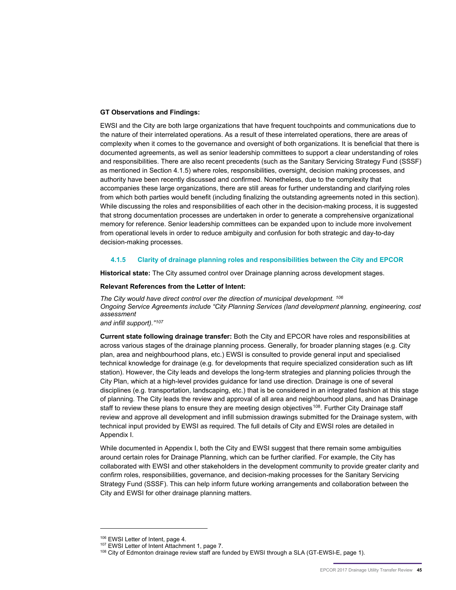#### **GT Observations and Findings:**

EWSI and the City are both large organizations that have frequent touchpoints and communications due to the nature of their interrelated operations. As a result of these interrelated operations, there are areas of complexity when it comes to the governance and oversight of both organizations. It is beneficial that there is documented agreements, as well as senior leadership committees to support a clear understanding of roles and responsibilities. There are also recent precedents (such as the Sanitary Servicing Strategy Fund (SSSF) as mentioned in Section 4.1.5) where roles, responsibilities, oversight, decision making processes, and authority have been recently discussed and confirmed. Nonetheless, due to the complexity that accompanies these large organizations, there are still areas for further understanding and clarifying roles from which both parties would benefit (including finalizing the outstanding agreements noted in this section). While discussing the roles and responsibilities of each other in the decision-making process, it is suggested that strong documentation processes are undertaken in order to generate a comprehensive organizational memory for reference. Senior leadership committees can be expanded upon to include more involvement from operational levels in order to reduce ambiguity and confusion for both strategic and day-to-day decision-making processes.

#### **4.1.5 Clarity of drainage planning roles and responsibilities between the City and EPCOR**

**Historical state:** The City assumed control over Drainage planning across development stages.

#### **Relevant References from the Letter of Intent:**

*The City would have direct control over the direction of municipal development. [106](#page-47-0) Ongoing Service Agreements include "City Planning Services (land development planning, engineering, cost assessment*

#### *and infill support)."[107](#page-47-1)*

**Current state following drainage transfer:** Both the City and EPCOR have roles and responsibilities at across various stages of the drainage planning process. Generally, for broader planning stages (e.g. City plan, area and neighbourhood plans, etc.) EWSI is consulted to provide general input and specialised technical knowledge for drainage (e.g. for developments that require specialized consideration such as lift station). However, the City leads and develops the long-term strategies and planning policies through the City Plan, which at a high-level provides guidance for land use direction. Drainage is one of several disciplines (e.g. transportation, landscaping, etc.) that is be considered in an integrated fashion at this stage of planning. The City leads the review and approval of all area and neighbourhood plans, and has Drainage staff to review these plans to ensure they are meeting design objectives<sup>[108](#page-47-2)</sup>. Further City Drainage staff review and approve all development and infill submission drawings submitted for the Drainage system, with technical input provided by EWSI as required. The full details of City and EWSI roles are detailed in Appendix I.

While documented in Appendix I, both the City and EWSI suggest that there remain some ambiguities around certain roles for Drainage Planning, which can be further clarified. For example, the City has collaborated with EWSI and other stakeholders in the development community to provide greater clarity and confirm roles, responsibilities, governance, and decision-making processes for the Sanitary Servicing Strategy Fund (SSSF). This can help inform future working arrangements and collaboration between the City and EWSI for other drainage planning matters.

<span id="page-47-1"></span><span id="page-47-0"></span>

 $106$  EWSI Letter of Intent, page 4.<br> $107$  EWSI Letter of Intent Attachment 1, page 7.

<span id="page-47-2"></span><sup>108</sup> City of Edmonton drainage review staff are funded by EWSI through a SLA (GT-EWSI-E, page 1).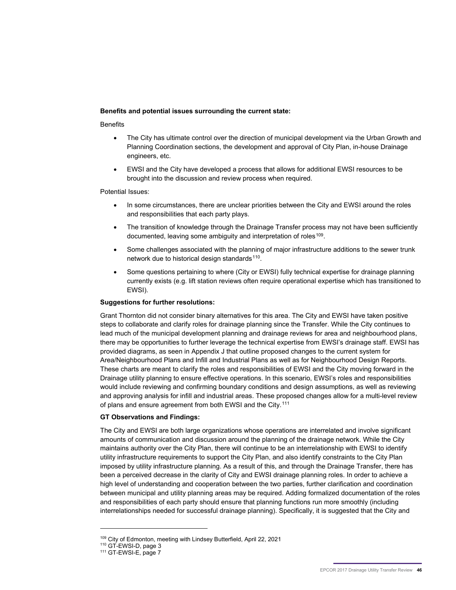#### **Benefits and potential issues surrounding the current state:**

#### **Benefits**

- The City has ultimate control over the direction of municipal development via the Urban Growth and Planning Coordination sections, the development and approval of City Plan, in-house Drainage engineers, etc.
- EWSI and the City have developed a process that allows for additional EWSI resources to be brought into the discussion and review process when required.

#### Potential Issues:

- In some circumstances, there are unclear priorities between the City and EWSI around the roles and responsibilities that each party plays.
- The transition of knowledge through the Drainage Transfer process may not have been sufficiently documented, leaving some ambiguity and interpretation of roles<sup>[109](#page-48-0)</sup>.
- Some challenges associated with the planning of major infrastructure additions to the sewer trunk network due to historical design standards<sup>[110](#page-48-1)</sup>.
- Some questions pertaining to where (City or EWSI) fully technical expertise for drainage planning currently exists (e.g. lift station reviews often require operational expertise which has transitioned to EWSI).

#### **Suggestions for further resolutions:**

Grant Thornton did not consider binary alternatives for this area. The City and EWSI have taken positive steps to collaborate and clarify roles for drainage planning since the Transfer. While the City continues to lead much of the municipal development planning and drainage reviews for area and neighbourhood plans, there may be opportunities to further leverage the technical expertise from EWSI's drainage staff. EWSI has provided diagrams, as seen in Appendix J that outline proposed changes to the current system for Area/Neighbourhood Plans and Infill and Industrial Plans as well as for Neighbourhood Design Reports. These charts are meant to clarify the roles and responsibilities of EWSI and the City moving forward in the Drainage utility planning to ensure effective operations. In this scenario, EWSI's roles and responsibilities would include reviewing and confirming boundary conditions and design assumptions, as well as reviewing and approving analysis for infill and industrial areas. These proposed changes allow for a multi-level review of plans and ensure agreement from both EWSI and the City.<sup>[111](#page-48-2)</sup>

#### **GT Observations and Findings:**

The City and EWSI are both large organizations whose operations are interrelated and involve significant amounts of communication and discussion around the planning of the drainage network. While the City maintains authority over the City Plan, there will continue to be an interrelationship with EWSI to identify utility infrastructure requirements to support the City Plan, and also identify constraints to the City Plan imposed by utility infrastructure planning. As a result of this, and through the Drainage Transfer, there has been a perceived decrease in the clarity of City and EWSI drainage planning roles. In order to achieve a high level of understanding and cooperation between the two parties, further clarification and coordination between municipal and utility planning areas may be required. Adding formalized documentation of the roles and responsibilities of each party should ensure that planning functions run more smoothly (including interrelationships needed for successful drainage planning). Specifically, it is suggested that the City and

<span id="page-48-0"></span><sup>109</sup> City of Edmonton, meeting with Lindsey Butterfield, April 22, 2021

<span id="page-48-2"></span><span id="page-48-1"></span><sup>110</sup> GT-EWSI-D, page 3

<sup>111</sup> GT-EWSI-E, page 7